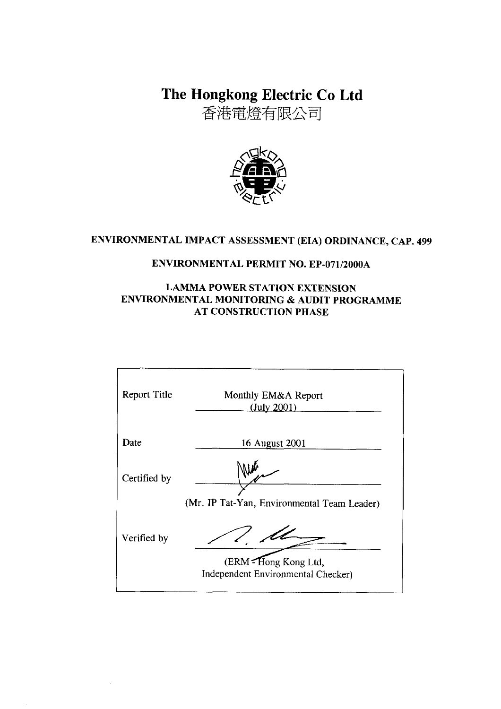The Hongkong Electric Co Ltd

香港電燈有限公司



# ENVIRONMENTAL IMPACT ASSESSMENT (EIA) ORDINANCE, CAP. 499

### **ENVIRONMENTAL PERMIT NO. EP-071/2000A**

### **LAMMA POWER STATION EXTENSION** ENVIRONMENTAL MONITORING & AUDIT PROGRAMME **AT CONSTRUCTION PHASE**

| <b>Report Title</b> | Monthly EM&A Report<br>(July 2001)                          |
|---------------------|-------------------------------------------------------------|
| Date                | 16 August 2001                                              |
| Certified by        |                                                             |
|                     | (Mr. IP Tat-Yan, Environmental Team Leader)                 |
| Verified by         |                                                             |
|                     | (ERM - Hong Kong Ltd,<br>Independent Environmental Checker) |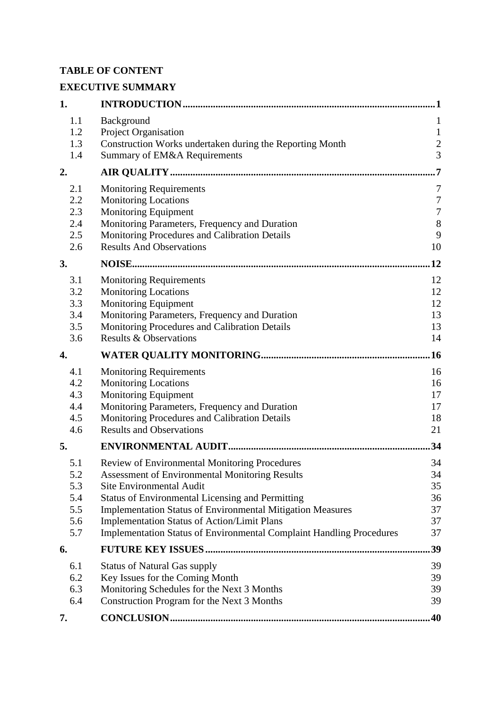# **TABLE OF CONTENT**

# **EXECUTIVE SUMMARY**

| 1.         |                                                                                                                                   | 1                |
|------------|-----------------------------------------------------------------------------------------------------------------------------------|------------------|
| 1.1        | Background                                                                                                                        | $\mathbf{1}$     |
| 1.2        | Project Organisation                                                                                                              | $\mathbf{1}$     |
| 1.3        | Construction Works undertaken during the Reporting Month                                                                          | $\overline{c}$   |
| 1.4        | Summary of EM&A Requirements                                                                                                      | $\overline{3}$   |
| 2.         |                                                                                                                                   | 7                |
| 2.1        | <b>Monitoring Requirements</b>                                                                                                    | 7                |
| 2.2        | <b>Monitoring Locations</b>                                                                                                       | $\boldsymbol{7}$ |
| 2.3        | Monitoring Equipment                                                                                                              | $\boldsymbol{7}$ |
| 2.4        | Monitoring Parameters, Frequency and Duration                                                                                     | $\,8\,$          |
| 2.5        | Monitoring Procedures and Calibration Details                                                                                     | 9                |
| 2.6        | <b>Results And Observations</b>                                                                                                   | 10               |
| 3.         |                                                                                                                                   | 12               |
| 3.1        | <b>Monitoring Requirements</b>                                                                                                    | 12               |
| 3.2        | <b>Monitoring Locations</b>                                                                                                       | 12               |
| 3.3        | Monitoring Equipment                                                                                                              | 12               |
| 3.4        | Monitoring Parameters, Frequency and Duration                                                                                     | 13               |
| 3.5        | Monitoring Procedures and Calibration Details                                                                                     | 13               |
| 3.6        | <b>Results &amp; Observations</b>                                                                                                 | 14               |
| 4.         |                                                                                                                                   | .16              |
| 4.1        | <b>Monitoring Requirements</b>                                                                                                    | 16               |
| 4.2        | <b>Monitoring Locations</b>                                                                                                       | 16               |
| 4.3        | <b>Monitoring Equipment</b>                                                                                                       | 17               |
| 4.4        | Monitoring Parameters, Frequency and Duration                                                                                     | 17               |
| 4.5        | Monitoring Procedures and Calibration Details                                                                                     | 18               |
| 4.6        | <b>Results and Observations</b>                                                                                                   | 21               |
| 5.         |                                                                                                                                   | 34               |
| 5.1        | Review of Environmental Monitoring Procedures                                                                                     | 34               |
| 5.2        | <b>Assessment of Environmental Monitoring Results</b>                                                                             | 34               |
| 5.3        | <b>Site Environmental Audit</b>                                                                                                   | 35               |
| 5.4        | <b>Status of Environmental Licensing and Permitting</b>                                                                           | 36               |
| 5.5        | <b>Implementation Status of Environmental Mitigation Measures</b>                                                                 | 37               |
| 5.6<br>5.7 | <b>Implementation Status of Action/Limit Plans</b><br><b>Implementation Status of Environmental Complaint Handling Procedures</b> | 37<br>37         |
|            |                                                                                                                                   |                  |
| 6.         |                                                                                                                                   | 39               |
| 6.1        | <b>Status of Natural Gas supply</b>                                                                                               | 39               |
| 6.2        | Key Issues for the Coming Month                                                                                                   | 39               |
| 6.3        | Monitoring Schedules for the Next 3 Months                                                                                        | 39               |
| 6.4        | Construction Program for the Next 3 Months                                                                                        | 39               |
| 7.         |                                                                                                                                   | .40              |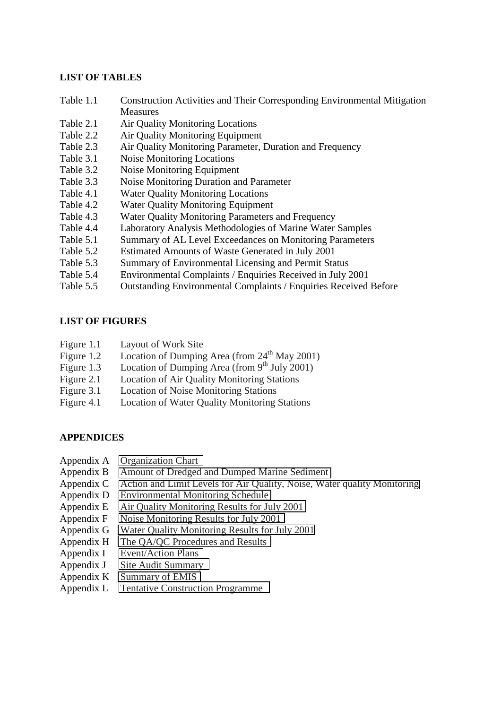#### **LIST OF TABLES**

- Table 1.1 Construction Activities and Their Corresponding Environmental Mitigation Measures
- Table 2.1 Air Quality Monitoring Locations
- Table 2.2 Air Quality Monitoring Equipment
- Table 2.3 Air Quality Monitoring Parameter, Duration and Frequency
- Table 3.1 Noise Monitoring Locations
- Table 3.2 Noise Monitoring Equipment
- Table 3.3 Noise Monitoring Duration and Parameter
- Table 4.1 Water Quality Monitoring Locations
- Table 4.2 Water Quality Monitoring Equipment
- Table 4.3 Water Quality Monitoring Parameters and Frequency
- Table 4.4 Laboratory Analysis Methodologies of Marine Water Samples
- Table 5.1 Summary of AL Level Exceedances on Monitoring Parameters
- Table 5.2 Estimated Amounts of Waste Generated in July 2001
- Table 5.3 Summary of Environmental Licensing and Permit Status
- Table 5.4 Environmental Complaints / Enquiries Received in July 2001
- Table 5.5 Outstanding Environmental Complaints / Enquiries Received Before

### **LIST OF FIGURES**

- Figure 1.1 Layout of Work Site
- Figure 1.2 Location of Dumping Area (from  $24<sup>th</sup>$  May 2001)
- Figure 1.3 Location of Dumping Area (from 9<sup>th</sup> July 2001)
- Figure 2.1 Location of Air Quality Monitoring Stations
- Figure 3.1 Location of Noise Monitoring Stations
- Figure 4.1 Location of Water Quality Monitoring Stations

### **APPENDICES**

- Appendix A Organization Chart
- Appendix B Amount of Dredged and Dumped Marine Sediment
- Appendix C Action and Limit Levels for Air Quality, Noise, Water quality Monitoring
- Appendix D Environmental Monitoring Schedule
- Appendix E Air Quality Monitoring Results for July 2001
- Appendix F Noise Monitoring Results for July 2001
- Appendix G Water Quality Monitoring Results for July 2001
- Appendix H The QA/QC Procedures and Results
- Appendix I Event/Action Plans
- Appendix J Site Audit Summary
- Appendix K Summary of EMIS
- Appendix L Tentative Construction Programme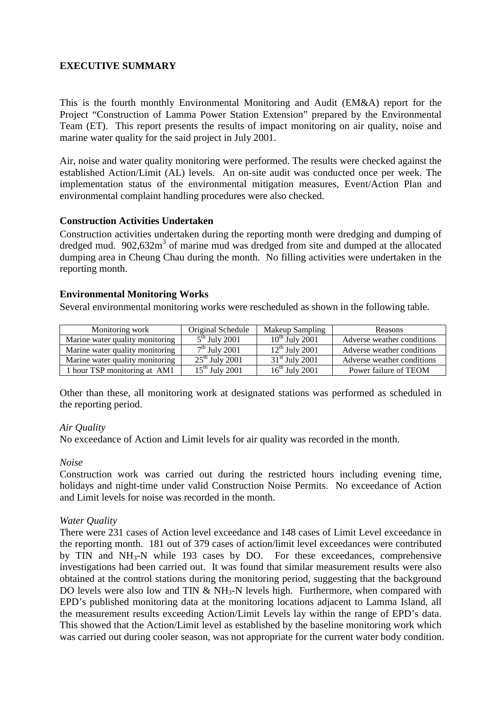### **EXECUTIVE SUMMARY**

This is the fourth monthly Environmental Monitoring and Audit (EM&A) report for the Project "Construction of Lamma Power Station Extension" prepared by the Environmental Team (ET). This report presents the results of impact monitoring on air quality, noise and marine water quality for the said project in July 2001.

Air, noise and water quality monitoring were performed. The results were checked against the established Action/Limit (AL) levels. An on-site audit was conducted once per week. The implementation status of the environmental mitigation measures, Event/Action Plan and environmental complaint handling procedures were also checked.

#### **Construction Activities Undertaken**

Construction activities undertaken during the reporting month were dredging and dumping of dredged mud.  $902,632m^3$  of marine mud was dredged from site and dumped at the allocated dumping area in Cheung Chau during the month. No filling activities were undertaken in the reporting month.

#### **Environmental Monitoring Works**

Several environmental monitoring works were rescheduled as shown in the following table.

| Monitoring work                 | Original Schedule | Makeup Sampling     | <b>Reasons</b>             |
|---------------------------------|-------------------|---------------------|----------------------------|
| Marine water quality monitoring | $5th$ July 2001   | $10^{th}$ July 2001 | Adverse weather conditions |
| Marine water quality monitoring | $7th$ July 2001   | $12th$ July 2001    | Adverse weather conditions |
| Marine water quality monitoring | $25th$ July 2001  | $31st$ July 2001    | Adverse weather conditions |
| 1 hour TSP monitoring at AM1    | $15th$ July 2001  | $16th$ July 2001    | Power failure of TEOM      |

Other than these, all monitoring work at designated stations was performed as scheduled in the reporting period.

#### *Air Quality*

No exceedance of Action and Limit levels for air quality was recorded in the month.

#### *Noise*

Construction work was carried out during the restricted hours including evening time, holidays and night-time under valid Construction Noise Permits. No exceedance of Action and Limit levels for noise was recorded in the month.

#### *Water Quality*

There were 231 cases of Action level exceedance and 148 cases of Limit Level exceedance in the reporting month. 181 out of 379 cases of action/limit level exceedances were contributed by TIN and  $NH_3-N$  while 193 cases by DO. For these exceedances, comprehensive investigations had been carried out. It was found that similar measurement results were also obtained at the control stations during the monitoring period, suggesting that the background DO levels were also low and TIN  $\&$  NH<sub>3</sub>-N levels high. Furthermore, when compared with EPD's published monitoring data at the monitoring locations adjacent to Lamma Island, all the measurement results exceeding Action/Limit Levels lay within the range of EPD's data. This showed that the Action/Limit level as established by the baseline monitoring work which was carried out during cooler season, was not appropriate for the current water body condition.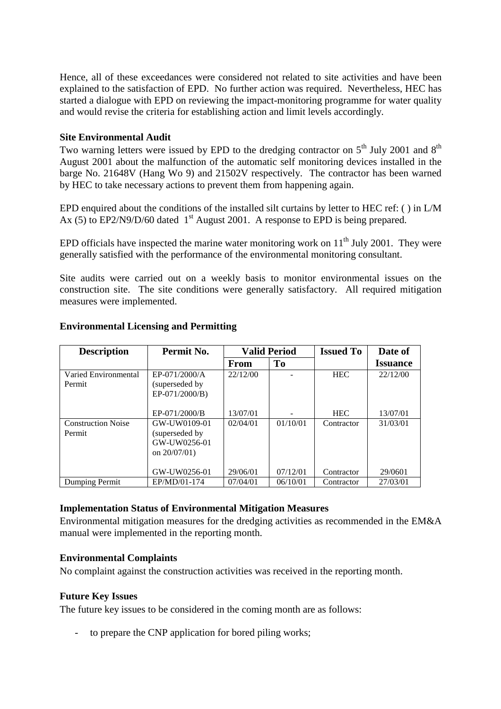Hence, all of these exceedances were considered not related to site activities and have been explained to the satisfaction of EPD. No further action was required. Nevertheless, HEC has started a dialogue with EPD on reviewing the impact-monitoring programme for water quality and would revise the criteria for establishing action and limit levels accordingly.

#### **Site Environmental Audit**

Two warning letters were issued by EPD to the dredging contractor on  $5<sup>th</sup>$  July 2001 and  $8<sup>th</sup>$ August 2001 about the malfunction of the automatic self monitoring devices installed in the barge No. 21648V (Hang Wo 9) and 21502V respectively. The contractor has been warned by HEC to take necessary actions to prevent them from happening again.

EPD enquired about the conditions of the installed silt curtains by letter to HEC ref: ( ) in L/M Ax (5) to EP2/N9/D/60 dated  $1<sup>st</sup>$  August 2001. A response to EPD is being prepared.

EPD officials have inspected the marine water monitoring work on  $11<sup>th</sup>$  July 2001. They were generally satisfied with the performance of the environmental monitoring consultant.

Site audits were carried out on a weekly basis to monitor environmental issues on the construction site. The site conditions were generally satisfactory. All required mitigation measures were implemented.

| <b>Description</b>                  | Permit No.                                                        |          | <b>Valid Period</b> | <b>Issued To</b> | Date of         |
|-------------------------------------|-------------------------------------------------------------------|----------|---------------------|------------------|-----------------|
|                                     |                                                                   | From     | T <sub>0</sub>      |                  | <b>Issuance</b> |
| Varied Environmental<br>Permit      | EP-071/2000/A<br>(superseded by)<br>EP-071/2000/B)                | 22/12/00 |                     | <b>HEC</b>       | 22/12/00        |
|                                     | EP-071/2000/B                                                     | 13/07/01 |                     | <b>HEC</b>       | 13/07/01        |
| <b>Construction Noise</b><br>Permit | GW-UW0109-01<br>(superseded by<br>GW-UW0256-01<br>on $20/07/01$ ) | 02/04/01 | 01/10/01            | Contractor       | 31/03/01        |
|                                     | GW-UW0256-01                                                      | 29/06/01 | 07/12/01            | Contractor       | 29/0601         |
| Dumping Permit                      | EP/MD/01-174                                                      | 07/04/01 | 06/10/01            | Contractor       | 27/03/01        |

#### **Environmental Licensing and Permitting**

### **Implementation Status of Environmental Mitigation Measures**

Environmental mitigation measures for the dredging activities as recommended in the EM&A manual were implemented in the reporting month.

#### **Environmental Complaints**

No complaint against the construction activities was received in the reporting month.

### **Future Key Issues**

The future key issues to be considered in the coming month are as follows:

to prepare the CNP application for bored piling works;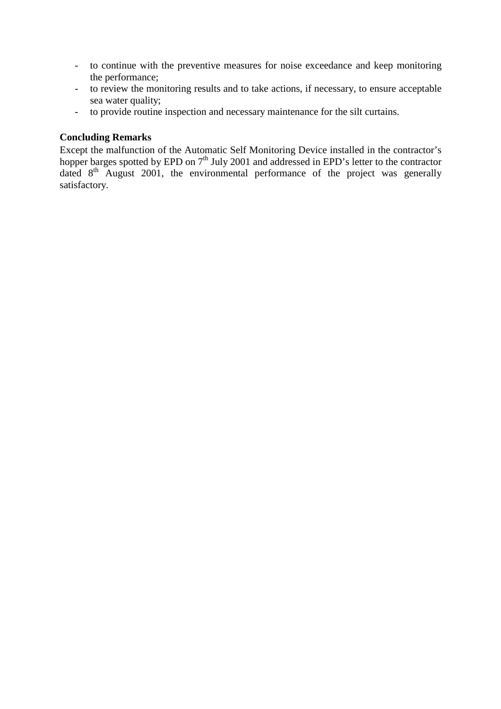- to continue with the preventive measures for noise exceedance and keep monitoring the performance;
- to review the monitoring results and to take actions, if necessary, to ensure acceptable sea water quality;
- to provide routine inspection and necessary maintenance for the silt curtains.

#### **Concluding Remarks**

Except the malfunction of the Automatic Self Monitoring Device installed in the contractor's hopper barges spotted by EPD on 7<sup>th</sup> July 2001 and addressed in EPD's letter to the contractor dated  $8<sup>th</sup>$  August 2001, the environmental performance of the project was generally satisfactory.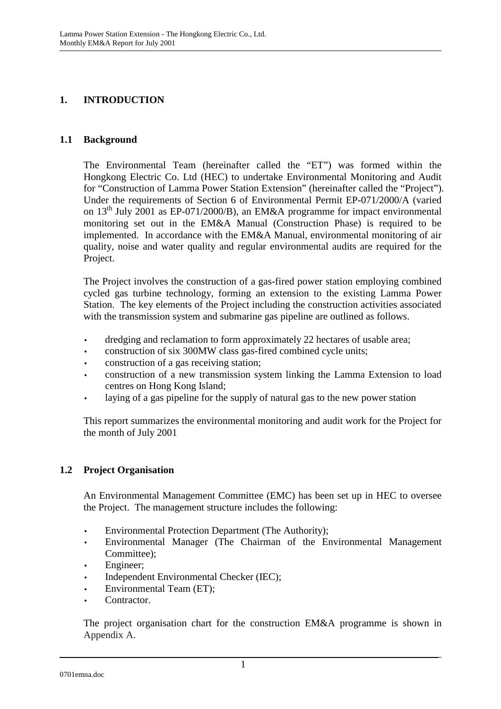### **1. INTRODUCTION**

#### **1.1 Background**

The Environmental Team (hereinafter called the "ET") was formed within the Hongkong Electric Co. Ltd (HEC) to undertake Environmental Monitoring and Audit for "Construction of Lamma Power Station Extension" (hereinafter called the "Project"). Under the requirements of Section 6 of Environmental Permit EP-071/2000/A (varied on  $13<sup>th</sup>$  July 2001 as EP-071/2000/B), an EM&A programme for impact environmental monitoring set out in the EM&A Manual (Construction Phase) is required to be implemented. In accordance with the EM&A Manual, environmental monitoring of air quality, noise and water quality and regular environmental audits are required for the Project.

The Project involves the construction of a gas-fired power station employing combined cycled gas turbine technology, forming an extension to the existing Lamma Power Station. The key elements of the Project including the construction activities associated with the transmission system and submarine gas pipeline are outlined as follows.

- dredging and reclamation to form approximately 22 hectares of usable area;
- construction of six 300MW class gas-fired combined cycle units;
- construction of a gas receiving station;
- construction of a new transmission system linking the Lamma Extension to load centres on Hong Kong Island;
- laying of a gas pipeline for the supply of natural gas to the new power station

This report summarizes the environmental monitoring and audit work for the Project for the month of July 2001

### **1.2 Project Organisation**

An Environmental Management Committee (EMC) has been set up in HEC to oversee the Project. The management structure includes the following:

- Environmental Protection Department (The Authority);
- Environmental Manager (The Chairman of the Environmental Management Committee);
- Engineer;
- Independent Environmental Checker (IEC);
- Environmental Team (ET);
- Contractor.

The project organisation chart for the construction EM&A programme is shown in Appendix A.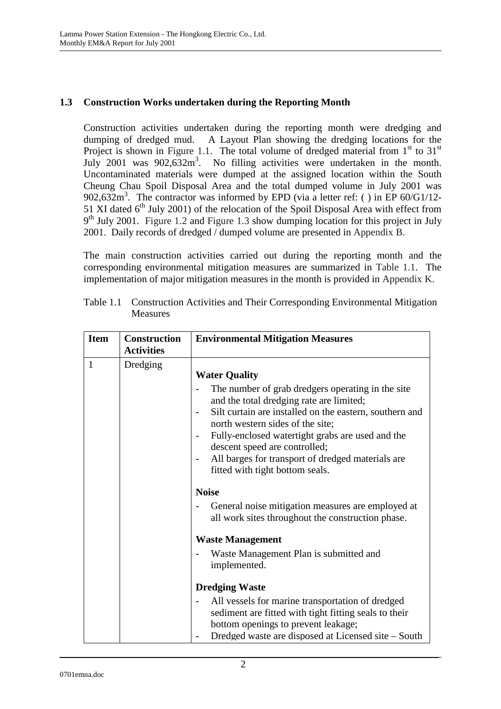### **1.3 Construction Works undertaken during the Reporting Month**

Construction activities undertaken during the reporting month were dredging and dumping of dredged mud. A Layout Plan showing the dredging locations for the Project is shown in Figure 1.1. The total volume of dredged material from  $1<sup>st</sup>$  to  $31<sup>st</sup>$ July 2001 was  $902,632m^3$ . No filling activities were undertaken in the month. Uncontaminated materials were dumped at the assigned location within the South Cheung Chau Spoil Disposal Area and the total dumped volume in July 2001 was 902,632m<sup>3</sup>. The contractor was informed by EPD (via a letter ref: () in EP 60/G1/12-51 XI dated  $6<sup>th</sup>$  July 2001) of the relocation of the Spoil Disposal Area with effect from  $9<sup>th</sup>$  July 2001. Figure 1.2 and Figure 1.3 show dumping location for this project in July 2001. Daily records of dredged / dumped volume are presented in Appendix B.

The main construction activities carried out during the reporting month and the corresponding environmental mitigation measures are summarized in Table 1.1. The implementation of major mitigation measures in the month is provided in Appendix K.

| <b>Item</b>  | <b>Construction</b><br><b>Activities</b> | <b>Environmental Mitigation Measures</b>                                                                                                                                                                                                                                                                                                                       |
|--------------|------------------------------------------|----------------------------------------------------------------------------------------------------------------------------------------------------------------------------------------------------------------------------------------------------------------------------------------------------------------------------------------------------------------|
| $\mathbf{1}$ | Dredging                                 | <b>Water Quality</b><br>The number of grab dredgers operating in the site<br>and the total dredging rate are limited;<br>Silt curtain are installed on the eastern, southern and<br>north western sides of the site;<br>Fully-enclosed watertight grabs are used and the<br>descent speed are controlled;<br>All barges for transport of dredged materials are |
|              |                                          | fitted with tight bottom seals.<br><b>Noise</b><br>General noise mitigation measures are employed at<br>all work sites throughout the construction phase.<br><b>Waste Management</b>                                                                                                                                                                           |
|              |                                          | Waste Management Plan is submitted and<br>implemented.                                                                                                                                                                                                                                                                                                         |
|              |                                          | <b>Dredging Waste</b><br>All vessels for marine transportation of dredged<br>sediment are fitted with tight fitting seals to their<br>bottom openings to prevent leakage;<br>Dredged waste are disposed at Licensed site – South                                                                                                                               |

Table 1.1 Construction Activities and Their Corresponding Environmental Mitigation Measures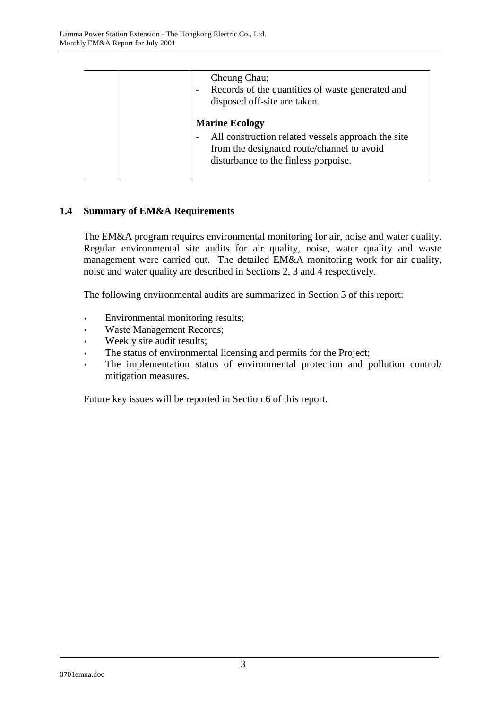| Cheung Chau;<br>Records of the quantities of waste generated and<br>disposed off-site are taken.                                                                  |
|-------------------------------------------------------------------------------------------------------------------------------------------------------------------|
| <b>Marine Ecology</b><br>All construction related vessels approach the site<br>from the designated route/channel to avoid<br>disturbance to the finless porpoise. |

# **1.4 Summary of EM&A Requirements**

The EM&A program requires environmental monitoring for air, noise and water quality. Regular environmental site audits for air quality, noise, water quality and waste management were carried out. The detailed EM&A monitoring work for air quality, noise and water quality are described in Sections 2, 3 and 4 respectively.

The following environmental audits are summarized in Section 5 of this report:

- Environmental monitoring results;
- Waste Management Records;
- Weekly site audit results;
- The status of environmental licensing and permits for the Project;
- The implementation status of environmental protection and pollution control/ mitigation measures.

Future key issues will be reported in Section 6 of this report.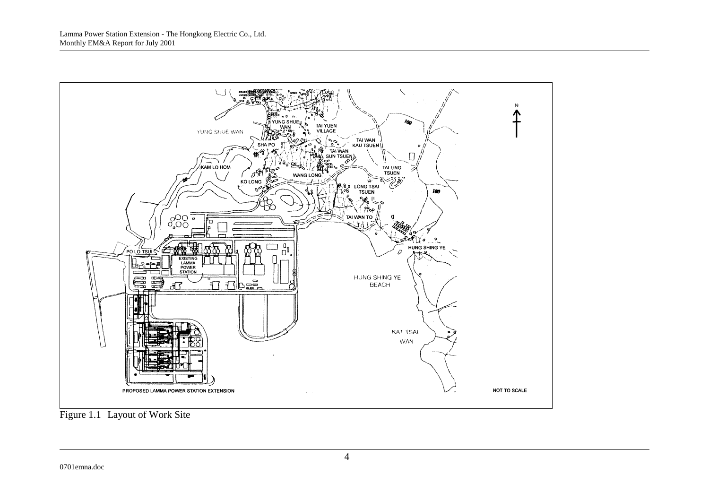

Figure 1.1 Layout of Work Site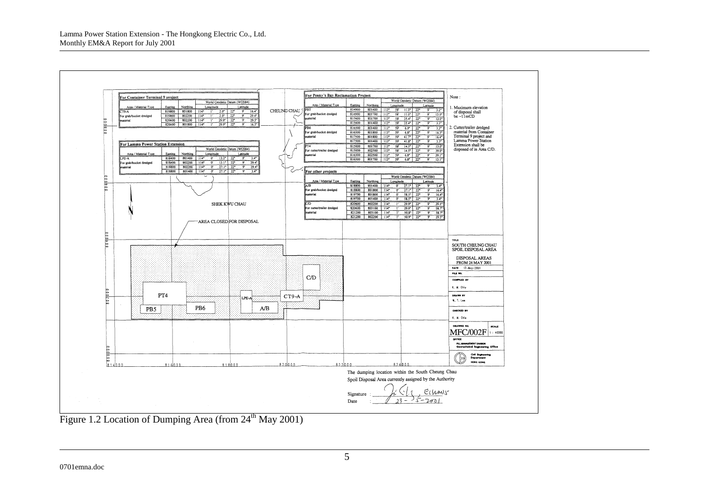

Figure 1.2 Location of Dumping Area (from  $24<sup>th</sup>$  May 2001)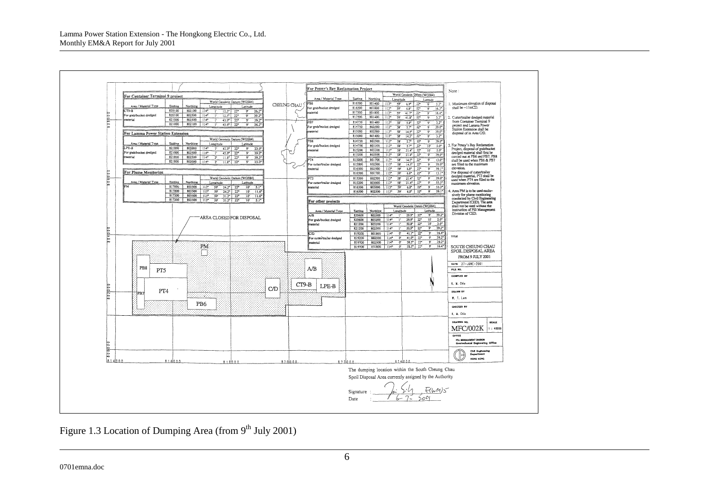

Figure 1.3 Location of Dumping Area (from  $9<sup>th</sup>$  July 2001)

0701emna.doc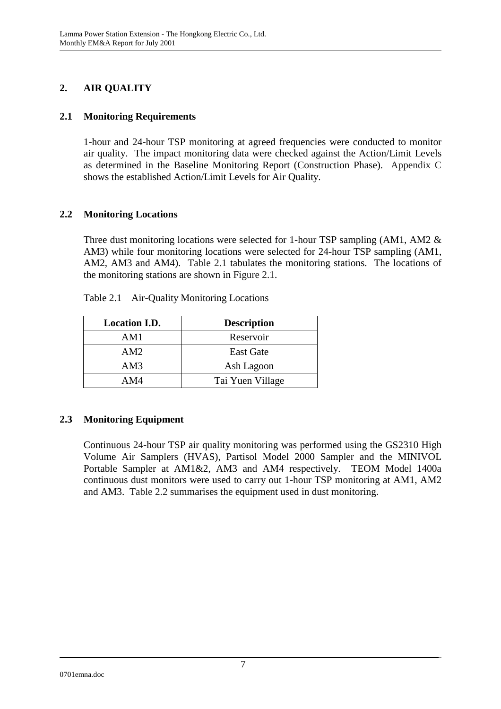# **2. AIR QUALITY**

### **2.1 Monitoring Requirements**

1-hour and 24-hour TSP monitoring at agreed frequencies were conducted to monitor air quality. The impact monitoring data were checked against the Action/Limit Levels as determined in the Baseline Monitoring Report (Construction Phase). Appendix C shows the established Action/Limit Levels for Air Quality.

### **2.2 Monitoring Locations**

Three dust monitoring locations were selected for 1-hour TSP sampling (AM1, AM2 & AM3) while four monitoring locations were selected for 24-hour TSP sampling (AM1, AM2, AM3 and AM4). Table 2.1 tabulates the monitoring stations. The locations of the monitoring stations are shown in Figure 2.1.

| <b>Location I.D.</b> | <b>Description</b> |
|----------------------|--------------------|
| AM1                  | Reservoir          |
| AM2                  | <b>East Gate</b>   |
| AM3                  | Ash Lagoon         |
| AM4                  | Tai Yuen Village   |

Table 2.1 Air-Quality Monitoring Locations

# **2.3 Monitoring Equipment**

Continuous 24-hour TSP air quality monitoring was performed using the GS2310 High Volume Air Samplers (HVAS), Partisol Model 2000 Sampler and the MINIVOL Portable Sampler at AM1&2, AM3 and AM4 respectively. TEOM Model 1400a continuous dust monitors were used to carry out 1-hour TSP monitoring at AM1, AM2 and AM3. Table 2.2 summarises the equipment used in dust monitoring.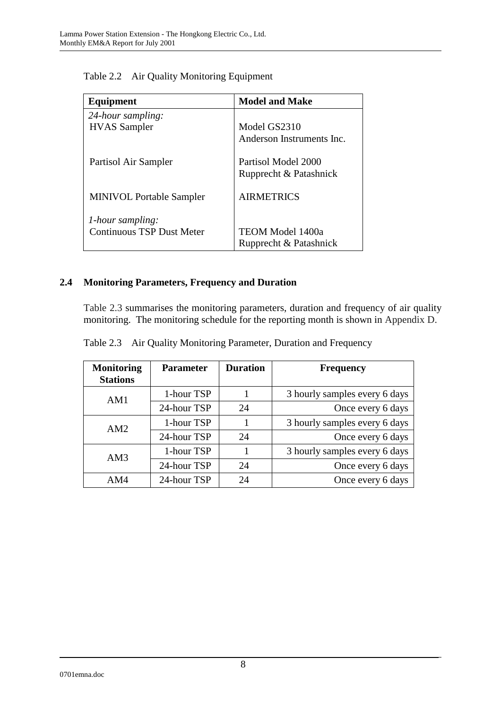| Equipment                        | <b>Model and Make</b>     |
|----------------------------------|---------------------------|
| 24-hour sampling:                |                           |
| <b>HVAS</b> Sampler              | Model GS2310              |
|                                  | Anderson Instruments Inc. |
| Partisol Air Sampler             | Partisol Model 2000       |
|                                  | Rupprecht & Patashnick    |
| <b>MINIVOL Portable Sampler</b>  | <b>AIRMETRICS</b>         |
| 1-hour sampling:                 |                           |
| <b>Continuous TSP Dust Meter</b> | <b>TEOM Model 1400a</b>   |
|                                  | Rupprecht & Patashnick    |

Table 2.2 Air Quality Monitoring Equipment

# **2.4 Monitoring Parameters, Frequency and Duration**

Table 2.3 summarises the monitoring parameters, duration and frequency of air quality monitoring. The monitoring schedule for the reporting month is shown in Appendix D.

|  |  | Table 2.3 Air Quality Monitoring Parameter, Duration and Frequency |  |  |
|--|--|--------------------------------------------------------------------|--|--|
|--|--|--------------------------------------------------------------------|--|--|

| <b>Monitoring</b><br><b>Stations</b> | <b>Parameter</b> | <b>Duration</b> | <b>Frequency</b>              |
|--------------------------------------|------------------|-----------------|-------------------------------|
| AM1                                  | 1-hour TSP       |                 | 3 hourly samples every 6 days |
|                                      | 24-hour TSP      | 24              | Once every 6 days             |
| AM2                                  | 1-hour TSP       |                 | 3 hourly samples every 6 days |
|                                      | 24-hour TSP      | 24              | Once every 6 days             |
| AM3                                  | 1-hour TSP       |                 | 3 hourly samples every 6 days |
|                                      | 24-hour TSP      | 24              | Once every 6 days             |
| AM4                                  | 24-hour TSP      | 24              | Once every 6 days             |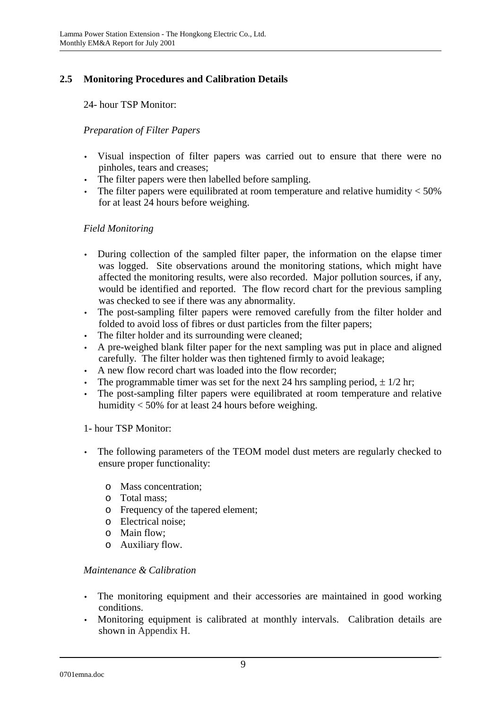# **2.5 Monitoring Procedures and Calibration Details**

24- hour TSP Monitor:

### *Preparation of Filter Papers*

- Visual inspection of filter papers was carried out to ensure that there were no pinholes, tears and creases;
- The filter papers were then labelled before sampling.
- The filter papers were equilibrated at room temperature and relative humidity  $<$  50% for at least 24 hours before weighing.

### *Field Monitoring*

- During collection of the sampled filter paper, the information on the elapse timer was logged. Site observations around the monitoring stations, which might have affected the monitoring results, were also recorded. Major pollution sources, if any, would be identified and reported. The flow record chart for the previous sampling was checked to see if there was any abnormality.
- The post-sampling filter papers were removed carefully from the filter holder and folded to avoid loss of fibres or dust particles from the filter papers;
- The filter holder and its surrounding were cleaned;
- A pre-weighed blank filter paper for the next sampling was put in place and aligned carefully. The filter holder was then tightened firmly to avoid leakage;
- A new flow record chart was loaded into the flow recorder;
- The programmable timer was set for the next 24 hrs sampling period,  $\pm 1/2$  hr;
- The post-sampling filter papers were equilibrated at room temperature and relative humidity < 50% for at least 24 hours before weighing.

### 1- hour TSP Monitor:

- The following parameters of the TEOM model dust meters are regularly checked to ensure proper functionality:
	- o Mass concentration;
	- o Total mass;
	- o Frequency of the tapered element;
	- o Electrical noise;
	- o Main flow;
	- o Auxiliary flow.

### *Maintenance & Calibration*

- The monitoring equipment and their accessories are maintained in good working conditions.
- Monitoring equipment is calibrated at monthly intervals. Calibration details are shown in Appendix H.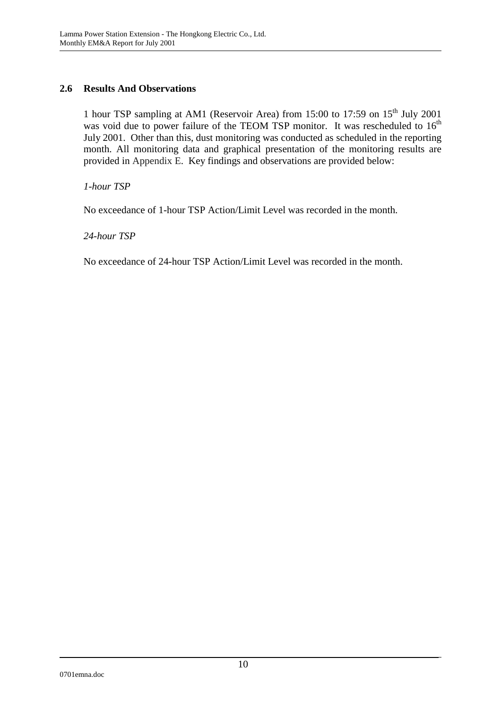### **2.6 Results And Observations**

1 hour TSP sampling at AM1 (Reservoir Area) from 15:00 to 17:59 on  $15<sup>th</sup>$  July 2001 was void due to power failure of the TEOM TSP monitor. It was rescheduled to  $16<sup>th</sup>$ July 2001. Other than this, dust monitoring was conducted as scheduled in the reporting month. All monitoring data and graphical presentation of the monitoring results are provided in Appendix E. Key findings and observations are provided below:

*1-hour TSP* 

No exceedance of 1-hour TSP Action/Limit Level was recorded in the month.

*24-hour TSP* 

No exceedance of 24-hour TSP Action/Limit Level was recorded in the month.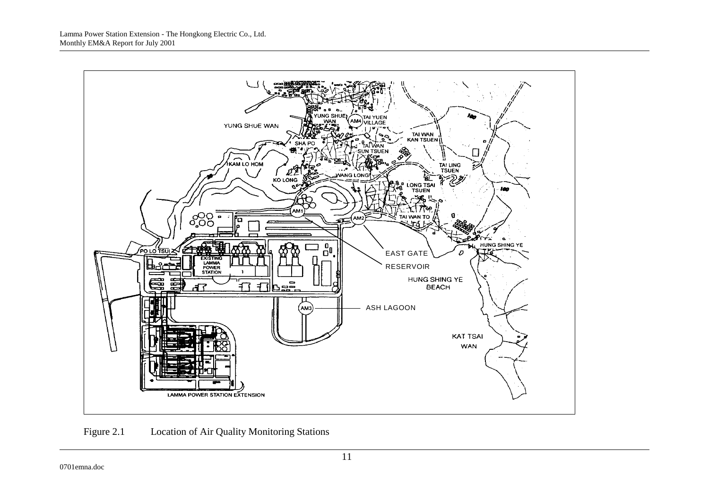

Figure 2.1 Location of Air Quality Monitoring Stations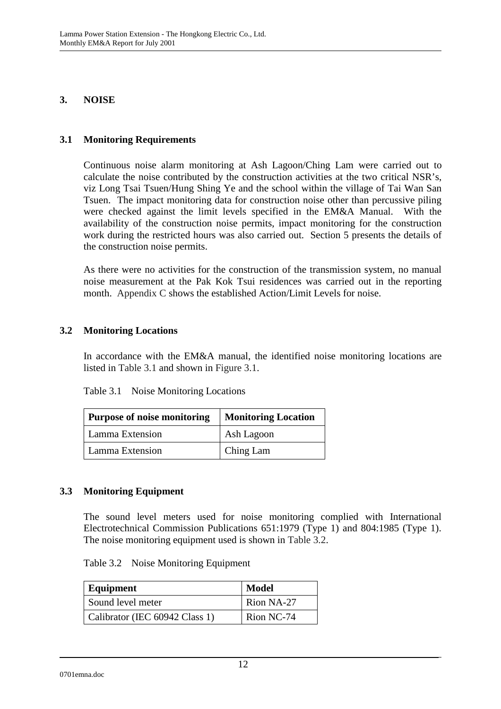#### **3. NOISE**

#### **3.1 Monitoring Requirements**

Continuous noise alarm monitoring at Ash Lagoon/Ching Lam were carried out to calculate the noise contributed by the construction activities at the two critical NSR's, viz Long Tsai Tsuen/Hung Shing Ye and the school within the village of Tai Wan San Tsuen. The impact monitoring data for construction noise other than percussive piling were checked against the limit levels specified in the EM&A Manual. With the availability of the construction noise permits, impact monitoring for the construction work during the restricted hours was also carried out. Section 5 presents the details of the construction noise permits.

As there were no activities for the construction of the transmission system, no manual noise measurement at the Pak Kok Tsui residences was carried out in the reporting month. Appendix C shows the established Action/Limit Levels for noise.

### **3.2 Monitoring Locations**

In accordance with the EM&A manual, the identified noise monitoring locations are listed in Table 3.1 and shown in Figure 3.1.

| Table 3.1 | Noise Monitoring Locations |
|-----------|----------------------------|
|-----------|----------------------------|

| <b>Purpose of noise monitoring</b> | <b>Monitoring Location</b> |  |
|------------------------------------|----------------------------|--|
| Lamma Extension                    | Ash Lagoon                 |  |
| Lamma Extension                    | Ching Lam                  |  |

### **3.3 Monitoring Equipment**

The sound level meters used for noise monitoring complied with International Electrotechnical Commission Publications 651:1979 (Type 1) and 804:1985 (Type 1). The noise monitoring equipment used is shown in Table 3.2.

| Equipment                      | Model      |
|--------------------------------|------------|
| Sound level meter              | Rion NA-27 |
| Calibrator (IEC 60942 Class 1) | Rion NC-74 |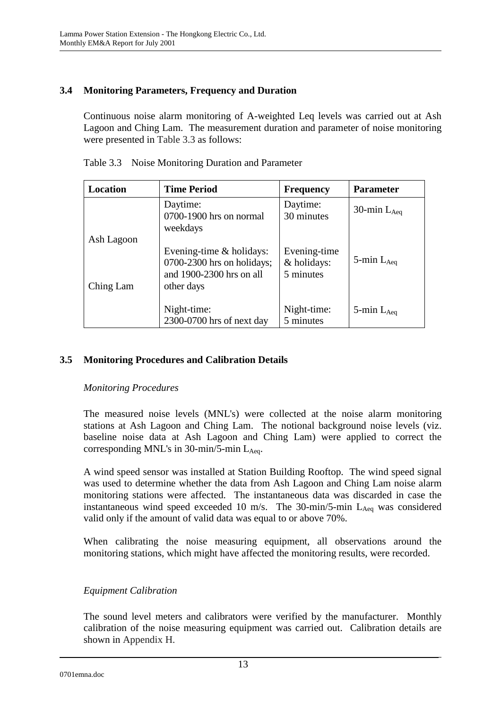# **3.4 Monitoring Parameters, Frequency and Duration**

Continuous noise alarm monitoring of A-weighted Leq levels was carried out at Ash Lagoon and Ching Lam. The measurement duration and parameter of noise monitoring were presented in Table 3.3 as follows:

| Location   | <b>Time Period</b>                                                                                   | <b>Frequency</b>                         | <b>Parameter</b>   |
|------------|------------------------------------------------------------------------------------------------------|------------------------------------------|--------------------|
|            | Daytime:<br>0700-1900 hrs on normal<br>weekdays                                                      | Daytime:<br>30 minutes                   | 30-min $L_{Aeq}$   |
| Ash Lagoon |                                                                                                      |                                          |                    |
| Ching Lam  | Evening-time $&$ holidays:<br>$0700-2300$ hrs on holidays;<br>and 1900-2300 hrs on all<br>other days | Evening-time<br>& holidays:<br>5 minutes | 5-min $L_{Aeq}$    |
|            | Night-time:<br>2300-0700 hrs of next day                                                             | Night-time:<br>5 minutes                 | $5$ -min $L_{Aea}$ |

Table 3.3 Noise Monitoring Duration and Parameter

### **3.5 Monitoring Procedures and Calibration Details**

### *Monitoring Procedures*

The measured noise levels (MNL's) were collected at the noise alarm monitoring stations at Ash Lagoon and Ching Lam. The notional background noise levels (viz. baseline noise data at Ash Lagoon and Ching Lam) were applied to correct the corresponding MNL's in  $30$ -min/5-min L<sub>Aeq</sub>.

A wind speed sensor was installed at Station Building Rooftop. The wind speed signal was used to determine whether the data from Ash Lagoon and Ching Lam noise alarm monitoring stations were affected. The instantaneous data was discarded in case the instantaneous wind speed exceeded 10 m/s. The  $30$ -min/5-min  $L_{Aeq}$  was considered valid only if the amount of valid data was equal to or above 70%.

When calibrating the noise measuring equipment, all observations around the monitoring stations, which might have affected the monitoring results, were recorded.

### *Equipment Calibration*

The sound level meters and calibrators were verified by the manufacturer. Monthly calibration of the noise measuring equipment was carried out. Calibration details are shown in Appendix H.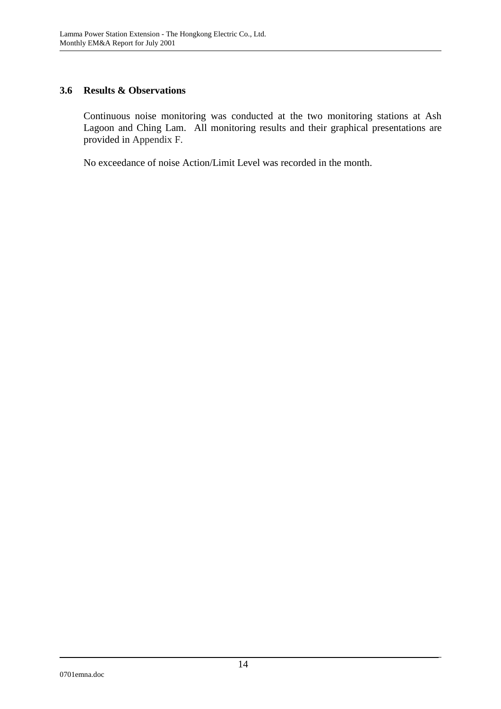### **3.6 Results & Observations**

Continuous noise monitoring was conducted at the two monitoring stations at Ash Lagoon and Ching Lam. All monitoring results and their graphical presentations are provided in Appendix F.

No exceedance of noise Action/Limit Level was recorded in the month.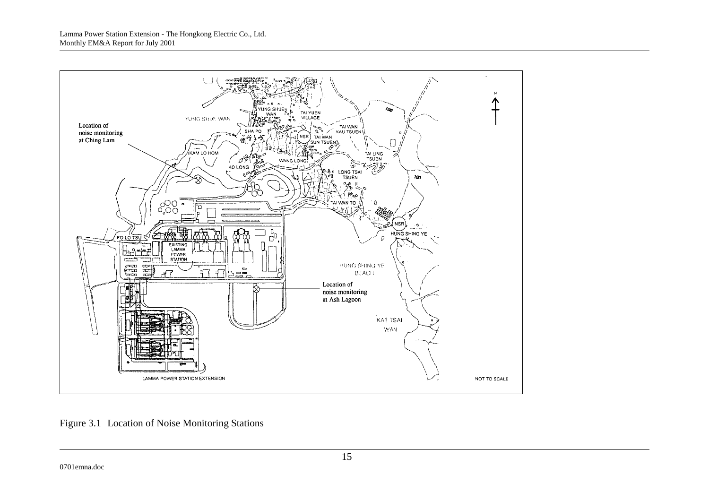

Figure 3.1 Location of Noise Monitoring Stations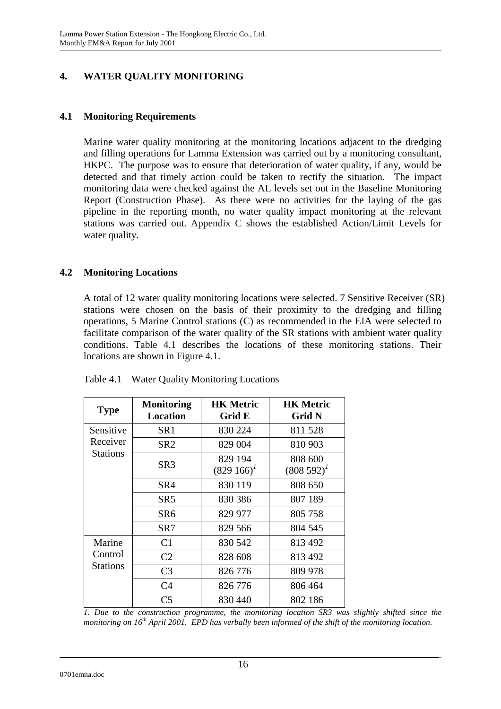# **4. WATER QUALITY MONITORING**

### **4.1 Monitoring Requirements**

Marine water quality monitoring at the monitoring locations adjacent to the dredging and filling operations for Lamma Extension was carried out by a monitoring consultant, HKPC. The purpose was to ensure that deterioration of water quality, if any, would be detected and that timely action could be taken to rectify the situation. The impact monitoring data were checked against the AL levels set out in the Baseline Monitoring Report (Construction Phase). As there were no activities for the laying of the gas pipeline in the reporting month, no water quality impact monitoring at the relevant stations was carried out. Appendix C shows the established Action/Limit Levels for water quality.

### **4.2 Monitoring Locations**

A total of 12 water quality monitoring locations were selected. 7 Sensitive Receiver (SR) stations were chosen on the basis of their proximity to the dredging and filling operations, 5 Marine Control stations (C) as recommended in the EIA were selected to facilitate comparison of the water quality of the SR stations with ambient water quality conditions. Table 4.1 describes the locations of these monitoring stations. Their locations are shown in Figure 4.1.

| <b>Type</b>         | <b>Monitoring</b><br><b>Location</b> | <b>HK Metric</b><br>Grid E | <b>HK Metric</b><br><b>Grid N</b> |
|---------------------|--------------------------------------|----------------------------|-----------------------------------|
| Sensitive           | SR <sub>1</sub>                      | 830 224                    | 811 528                           |
| Receiver            | SR <sub>2</sub>                      | 829 004                    | 810 903                           |
| <b>Stations</b>     | SR3                                  | 829 194<br>$(829166)^T$    | 808 600<br>$(808592)^{1}$         |
|                     | SR <sub>4</sub>                      | 830 119                    | 808 650                           |
|                     | SR <sub>5</sub>                      | 830 386                    | 807 189                           |
|                     | SR6                                  | 829 977                    | 805 758                           |
|                     | SR7                                  | 829 566                    | 804 545                           |
| Marine              | C <sub>1</sub>                       | 830 542                    | 813 492                           |
| Control<br>Stations | C <sub>2</sub>                       | 828 608                    | 813 492                           |
|                     | C <sub>3</sub>                       | 826 776                    | 809 978                           |
|                     | C <sub>4</sub>                       | 826 776                    | 806 464                           |
|                     | C <sub>5</sub>                       | 830 440                    | 802 186                           |

Table 4.1 Water Quality Monitoring Locations

*1. Due to the construction programme, the monitoring location SR3 was slightly shifted since the monitoring on 16th April 2001. EPD has verbally been informed of the shift of the monitoring location.*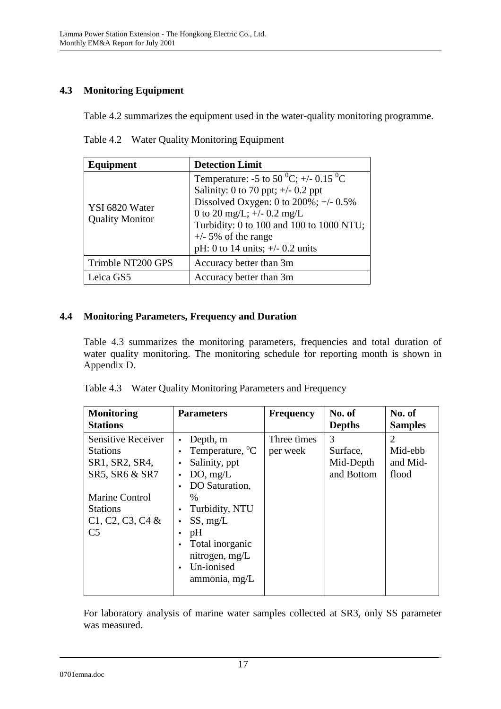# **4.3 Monitoring Equipment**

Table 4.2 summarizes the equipment used in the water-quality monitoring programme.

| Equipment                                | <b>Detection Limit</b>                                                                                                                                                                                                                                                                           |  |  |
|------------------------------------------|--------------------------------------------------------------------------------------------------------------------------------------------------------------------------------------------------------------------------------------------------------------------------------------------------|--|--|
| YSI 6820 Water<br><b>Quality Monitor</b> | Temperature: -5 to 50 <sup>0</sup> C; +/- 0.15 <sup>0</sup> C<br>Salinity: 0 to 70 ppt; $\pm$ /- 0.2 ppt<br>Dissolved Oxygen: 0 to $200\%$ ; +/- 0.5%<br>0 to 20 mg/L; $+/-$ 0.2 mg/L<br>Turbidity: 0 to 100 and 100 to 1000 NTU;<br>$+/-$ 5% of the range<br>pH: 0 to 14 units; $+/- 0.2$ units |  |  |
| Trimble NT200 GPS                        | Accuracy better than 3m                                                                                                                                                                                                                                                                          |  |  |
| Leica GS5                                | Accuracy better than 3m                                                                                                                                                                                                                                                                          |  |  |

Table 4.2 Water Quality Monitoring Equipment

# **4.4 Monitoring Parameters, Frequency and Duration**

Table 4.3 summarizes the monitoring parameters, frequencies and total duration of water quality monitoring. The monitoring schedule for reporting month is shown in Appendix D.

| <b>Monitoring</b><br><b>Stations</b>                                             | <b>Parameters</b>                                                                                                                                                             | <b>Frequency</b>        | No. of<br><b>Depths</b>                  | No. of<br><b>Samples</b>          |
|----------------------------------------------------------------------------------|-------------------------------------------------------------------------------------------------------------------------------------------------------------------------------|-------------------------|------------------------------------------|-----------------------------------|
| <b>Sensitive Receiver</b><br><b>Stations</b><br>SR1, SR2, SR4,<br>SR5, SR6 & SR7 | Depth, m<br>Temperature, <sup>o</sup> C<br>$\bullet$<br>Salinity, ppt<br>DO, mg/L<br>$\bullet$<br>DO Saturation,<br>$\bullet$                                                 | Three times<br>per week | 3<br>Surface,<br>Mid-Depth<br>and Bottom | 2<br>Mid-ebb<br>and Mid-<br>flood |
| Marine Control<br><b>Stations</b><br>$C1, C2, C3, C4$ &<br>C <sub>5</sub>        | $\%$<br>Turbidity, NTU<br>$\bullet$<br>SS, mg/L<br>$\bullet$<br>pH<br>$\bullet$<br>Total inorganic<br>$\bullet$<br>nitrogen, mg/L<br>Un-ionised<br>$\bullet$<br>ammonia, mg/L |                         |                                          |                                   |

|  | Table 4.3 Water Quality Monitoring Parameters and Frequency |  |
|--|-------------------------------------------------------------|--|
|--|-------------------------------------------------------------|--|

For laboratory analysis of marine water samples collected at SR3, only SS parameter was measured.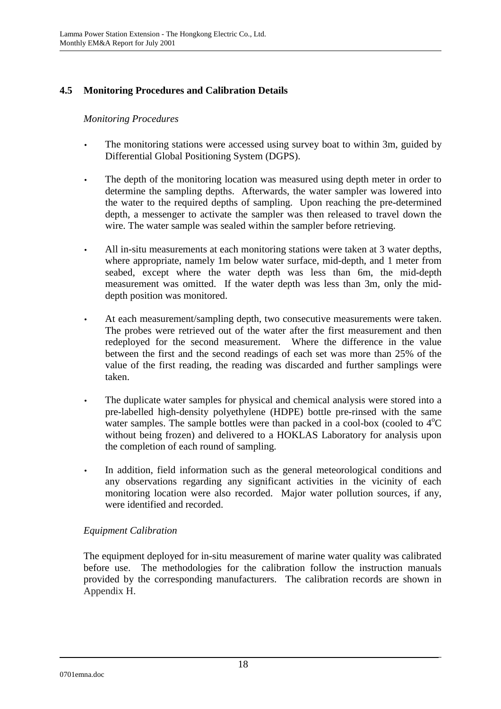# **4.5 Monitoring Procedures and Calibration Details**

### *Monitoring Procedures*

- The monitoring stations were accessed using survey boat to within 3m, guided by Differential Global Positioning System (DGPS).
- The depth of the monitoring location was measured using depth meter in order to determine the sampling depths. Afterwards, the water sampler was lowered into the water to the required depths of sampling. Upon reaching the pre-determined depth, a messenger to activate the sampler was then released to travel down the wire. The water sample was sealed within the sampler before retrieving.
- All in-situ measurements at each monitoring stations were taken at 3 water depths, where appropriate, namely 1m below water surface, mid-depth, and 1 meter from seabed, except where the water depth was less than 6m, the mid-depth measurement was omitted. If the water depth was less than 3m, only the middepth position was monitored.
- At each measurement/sampling depth, two consecutive measurements were taken. The probes were retrieved out of the water after the first measurement and then redeployed for the second measurement. Where the difference in the value between the first and the second readings of each set was more than 25% of the value of the first reading, the reading was discarded and further samplings were taken.
- The duplicate water samples for physical and chemical analysis were stored into a pre-labelled high-density polyethylene (HDPE) bottle pre-rinsed with the same water samples. The sample bottles were than packed in a cool-box (cooled to  $4^{\circ}C$ without being frozen) and delivered to a HOKLAS Laboratory for analysis upon the completion of each round of sampling.
- In addition, field information such as the general meteorological conditions and any observations regarding any significant activities in the vicinity of each monitoring location were also recorded. Major water pollution sources, if any, were identified and recorded.

### *Equipment Calibration*

The equipment deployed for in-situ measurement of marine water quality was calibrated before use. The methodologies for the calibration follow the instruction manuals provided by the corresponding manufacturers. The calibration records are shown in Appendix H.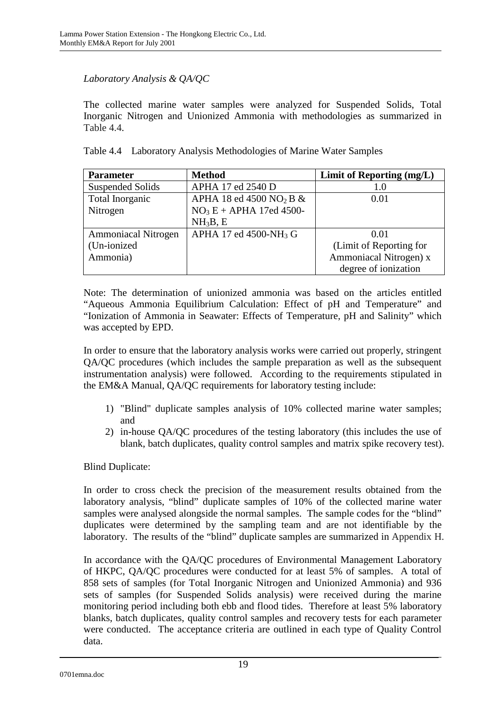### *Laboratory Analysis & QA/QC*

The collected marine water samples were analyzed for Suspended Solids, Total Inorganic Nitrogen and Unionized Ammonia with methodologies as summarized in Table 4.4.

|  |  |  |  |  | Table 4.4 Laboratory Analysis Methodologies of Marine Water Samples |
|--|--|--|--|--|---------------------------------------------------------------------|
|--|--|--|--|--|---------------------------------------------------------------------|

| <b>Parameter</b>           | <b>Method</b>                          | Limit of Reporting (mg/L) |
|----------------------------|----------------------------------------|---------------------------|
| <b>Suspended Solids</b>    | APHA 17 ed 2540 D                      | 1.0                       |
| Total Inorganic            | APHA 18 ed 4500 NO <sub>2</sub> B $\&$ | 0.01                      |
| Nitrogen                   | $NO3E + APHA$ 17ed 4500-               |                           |
|                            | NH <sub>3</sub> B, E                   |                           |
| <b>Ammoniacal Nitrogen</b> | APHA 17 ed 4500-NH <sub>3</sub> G      | 0.01                      |
| (Un-ionized                |                                        | (Limit of Reporting for   |
| Ammonia)                   |                                        | Ammoniacal Nitrogen) x    |
|                            |                                        | degree of ionization      |

Note: The determination of unionized ammonia was based on the articles entitled "Aqueous Ammonia Equilibrium Calculation: Effect of pH and Temperature" and "Ionization of Ammonia in Seawater: Effects of Temperature, pH and Salinity" which was accepted by EPD.

In order to ensure that the laboratory analysis works were carried out properly, stringent QA/QC procedures (which includes the sample preparation as well as the subsequent instrumentation analysis) were followed. According to the requirements stipulated in the EM&A Manual, QA/QC requirements for laboratory testing include:

- 1) "Blind" duplicate samples analysis of 10% collected marine water samples; and
- 2) in-house QA/QC procedures of the testing laboratory (this includes the use of blank, batch duplicates, quality control samples and matrix spike recovery test).

Blind Duplicate:

In order to cross check the precision of the measurement results obtained from the laboratory analysis, "blind" duplicate samples of 10% of the collected marine water samples were analysed alongside the normal samples. The sample codes for the "blind" duplicates were determined by the sampling team and are not identifiable by the laboratory. The results of the "blind" duplicate samples are summarized in Appendix H.

In accordance with the QA/QC procedures of Environmental Management Laboratory of HKPC, QA/QC procedures were conducted for at least 5% of samples. A total of 858 sets of samples (for Total Inorganic Nitrogen and Unionized Ammonia) and 936 sets of samples (for Suspended Solids analysis) were received during the marine monitoring period including both ebb and flood tides. Therefore at least 5% laboratory blanks, batch duplicates, quality control samples and recovery tests for each parameter were conducted. The acceptance criteria are outlined in each type of Quality Control data.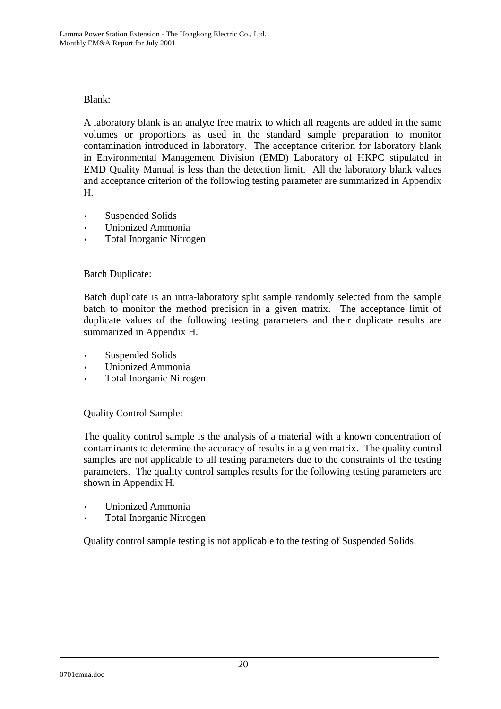### Blank:

A laboratory blank is an analyte free matrix to which all reagents are added in the same volumes or proportions as used in the standard sample preparation to monitor contamination introduced in laboratory. The acceptance criterion for laboratory blank in Environmental Management Division (EMD) Laboratory of HKPC stipulated in EMD Quality Manual is less than the detection limit. All the laboratory blank values and acceptance criterion of the following testing parameter are summarized in Appendix H.

- Suspended Solids
- Unionized Ammonia
- Total Inorganic Nitrogen

### Batch Duplicate:

Batch duplicate is an intra-laboratory split sample randomly selected from the sample batch to monitor the method precision in a given matrix. The acceptance limit of duplicate values of the following testing parameters and their duplicate results are summarized in Appendix H.

- Suspended Solids
- Unionized Ammonia
- Total Inorganic Nitrogen

Quality Control Sample:

The quality control sample is the analysis of a material with a known concentration of contaminants to determine the accuracy of results in a given matrix. The quality control samples are not applicable to all testing parameters due to the constraints of the testing parameters. The quality control samples results for the following testing parameters are shown in Appendix H.

- Unionized Ammonia
- Total Inorganic Nitrogen

Quality control sample testing is not applicable to the testing of Suspended Solids.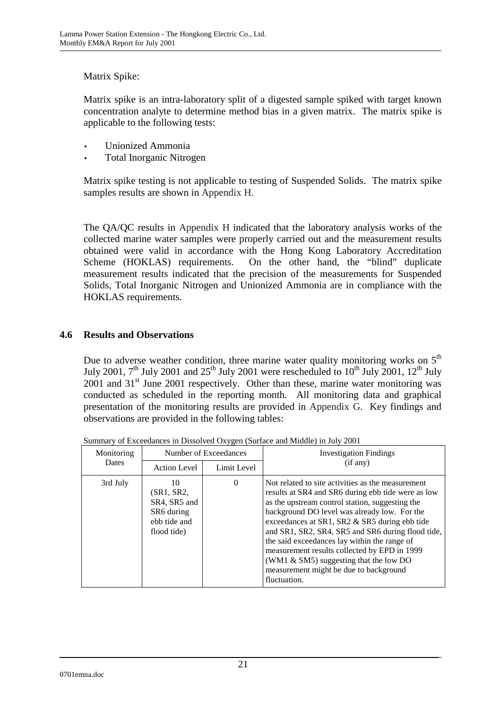### Matrix Spike:

Matrix spike is an intra-laboratory split of a digested sample spiked with target known concentration analyte to determine method bias in a given matrix. The matrix spike is applicable to the following tests:

- Unionized Ammonia
- Total Inorganic Nitrogen

Matrix spike testing is not applicable to testing of Suspended Solids. The matrix spike samples results are shown in Appendix H.

The QA/QC results in Appendix H indicated that the laboratory analysis works of the collected marine water samples were properly carried out and the measurement results obtained were valid in accordance with the Hong Kong Laboratory Accreditation Scheme (HOKLAS) requirements. On the other hand, the "blind" duplicate measurement results indicated that the precision of the measurements for Suspended Solids, Total Inorganic Nitrogen and Unionized Ammonia are in compliance with the HOKLAS requirements.

### **4.6 Results and Observations**

Due to adverse weather condition, three marine water quality monitoring works on  $5<sup>th</sup>$ July 2001,  $7<sup>th</sup>$  July 2001 and  $25<sup>th</sup>$  July 2001 were rescheduled to  $10<sup>th</sup>$  July 2001,  $12<sup>th</sup>$  July  $2001$  and  $31<sup>st</sup>$  June 2001 respectively. Other than these, marine water monitoring was conducted as scheduled in the reporting month. All monitoring data and graphical presentation of the monitoring results are provided in Appendix G. Key findings and observations are provided in the following tables:

| Monitoring<br>Number of Exceedances |                                                                               |             | <b>Investigation Findings</b>                                                                                                                                                                                                                                                                                                                                                                                                                                                                                           |
|-------------------------------------|-------------------------------------------------------------------------------|-------------|-------------------------------------------------------------------------------------------------------------------------------------------------------------------------------------------------------------------------------------------------------------------------------------------------------------------------------------------------------------------------------------------------------------------------------------------------------------------------------------------------------------------------|
| <b>Dates</b>                        | <b>Action Level</b>                                                           | Limit Level | (if any)                                                                                                                                                                                                                                                                                                                                                                                                                                                                                                                |
| 3rd July                            | 10<br>(SR1, SR2,<br>SR4, SR5 and<br>SR6 during<br>ebb tide and<br>flood tide) | $\Omega$    | Not related to site activities as the measurement<br>results at SR4 and SR6 during ebb tide were as low<br>as the upstream control station, suggesting the<br>background DO level was already low. For the<br>exceedances at SR1, SR2 & SR5 during ebb tide<br>and SR1, SR2, SR4, SR5 and SR6 during flood tide,<br>the said exceedances lay within the range of<br>measurement results collected by EPD in 1999<br>(WM1 $\&$ SM5) suggesting that the low DO<br>measurement might be due to background<br>fluctuation. |

Summary of Exceedances in Dissolved Oxygen (Surface and Middle) in July 2001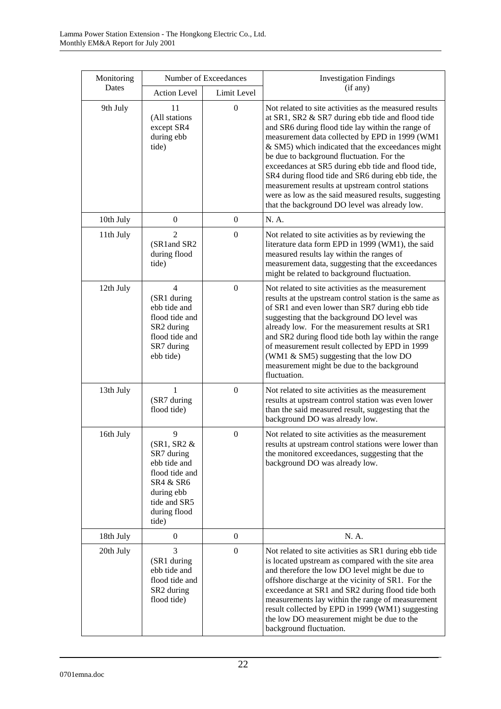| Monitoring | Number of Exceedances                                                                                                                   |                  | <b>Investigation Findings</b>                                                                                                                                                                                                                                                                                                                                                                                                                                                                                                                                                                |  |
|------------|-----------------------------------------------------------------------------------------------------------------------------------------|------------------|----------------------------------------------------------------------------------------------------------------------------------------------------------------------------------------------------------------------------------------------------------------------------------------------------------------------------------------------------------------------------------------------------------------------------------------------------------------------------------------------------------------------------------------------------------------------------------------------|--|
| Dates      | <b>Action Level</b>                                                                                                                     | Limit Level      | (if any)                                                                                                                                                                                                                                                                                                                                                                                                                                                                                                                                                                                     |  |
| 9th July   | 11<br>(All stations<br>except SR4<br>during ebb<br>tide)                                                                                | $\boldsymbol{0}$ | Not related to site activities as the measured results<br>at SR1, SR2 & SR7 during ebb tide and flood tide<br>and SR6 during flood tide lay within the range of<br>measurement data collected by EPD in 1999 (WM1<br>& SM5) which indicated that the exceedances might<br>be due to background fluctuation. For the<br>exceedances at SR5 during ebb tide and flood tide,<br>SR4 during flood tide and SR6 during ebb tide, the<br>measurement results at upstream control stations<br>were as low as the said measured results, suggesting<br>that the background DO level was already low. |  |
| 10th July  | $\boldsymbol{0}$                                                                                                                        | $\boldsymbol{0}$ | N. A.                                                                                                                                                                                                                                                                                                                                                                                                                                                                                                                                                                                        |  |
| 11th July  | $\overline{2}$<br>(SR1and SR2<br>during flood<br>tide)                                                                                  | $\boldsymbol{0}$ | Not related to site activities as by reviewing the<br>literature data form EPD in 1999 (WM1), the said<br>measured results lay within the ranges of<br>measurement data, suggesting that the exceedances<br>might be related to background fluctuation.                                                                                                                                                                                                                                                                                                                                      |  |
| 12th July  | 4<br>(SR1 during<br>ebb tide and<br>flood tide and<br>SR2 during<br>flood tide and<br>SR7 during<br>ebb tide)                           | $\boldsymbol{0}$ | Not related to site activities as the measurement<br>results at the upstream control station is the same as<br>of SR1 and even lower than SR7 during ebb tide<br>suggesting that the background DO level was<br>already low. For the measurement results at SR1<br>and SR2 during flood tide both lay within the range<br>of measurement result collected by EPD in 1999<br>(WM1 & SM5) suggesting that the low DO<br>measurement might be due to the background<br>fluctuation.                                                                                                             |  |
| 13th July  | 1<br>(SR7 during<br>flood tide)                                                                                                         | $\boldsymbol{0}$ | Not related to site activities as the measurement<br>results at upstream control station was even lower<br>than the said measured result, suggesting that the<br>background DO was already low.                                                                                                                                                                                                                                                                                                                                                                                              |  |
| 16th July  | 9<br>$(SR1, SR2 \&$<br>SR7 during<br>ebb tide and<br>flood tide and<br>SR4 & SR6<br>during ebb<br>tide and SR5<br>during flood<br>tide) | $\mathbf{0}$     | Not related to site activities as the measurement<br>results at upstream control stations were lower than<br>the monitored exceedances, suggesting that the<br>background DO was already low.                                                                                                                                                                                                                                                                                                                                                                                                |  |
| 18th July  | $\boldsymbol{0}$                                                                                                                        | $\boldsymbol{0}$ | N. A.                                                                                                                                                                                                                                                                                                                                                                                                                                                                                                                                                                                        |  |
| 20th July  | 3<br>(SR1 during<br>ebb tide and<br>flood tide and<br>SR2 during<br>flood tide)                                                         | $\boldsymbol{0}$ | Not related to site activities as SR1 during ebb tide<br>is located upstream as compared with the site area<br>and therefore the low DO level might be due to<br>offshore discharge at the vicinity of SR1. For the<br>exceedance at SR1 and SR2 during flood tide both<br>measurements lay within the range of measurement<br>result collected by EPD in 1999 (WM1) suggesting<br>the low DO measurement might be due to the<br>background fluctuation.                                                                                                                                     |  |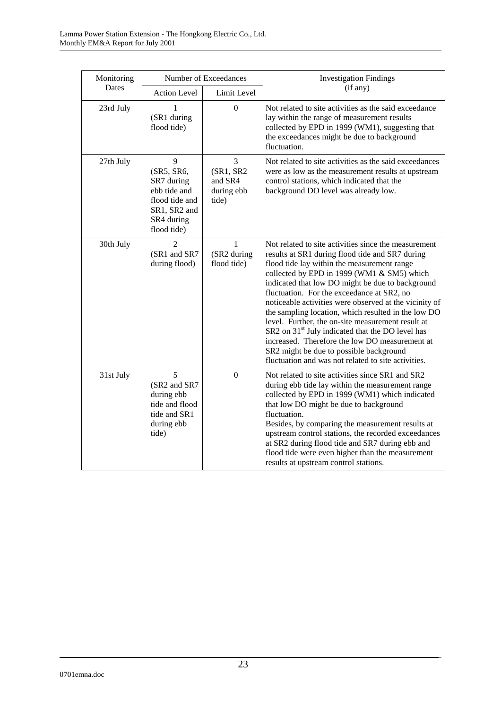| Monitoring | Number of Exceedances                                                                                        |                                                   | <b>Investigation Findings</b>                                                                                                                                                                                                                                                                                                                                                                                                                                                                                                                                                                                                                                                                    |
|------------|--------------------------------------------------------------------------------------------------------------|---------------------------------------------------|--------------------------------------------------------------------------------------------------------------------------------------------------------------------------------------------------------------------------------------------------------------------------------------------------------------------------------------------------------------------------------------------------------------------------------------------------------------------------------------------------------------------------------------------------------------------------------------------------------------------------------------------------------------------------------------------------|
| Dates      | <b>Action Level</b>                                                                                          | Limit Level                                       | (if any)                                                                                                                                                                                                                                                                                                                                                                                                                                                                                                                                                                                                                                                                                         |
| 23rd July  | (SR1 during<br>flood tide)                                                                                   | $\Omega$                                          | Not related to site activities as the said exceedance<br>lay within the range of measurement results<br>collected by EPD in 1999 (WM1), suggesting that<br>the exceedances might be due to background<br>fluctuation.                                                                                                                                                                                                                                                                                                                                                                                                                                                                            |
| 27th July  | 9<br>(SR5, SR6,<br>SR7 during<br>ebb tide and<br>flood tide and<br>SR1, SR2 and<br>SR4 during<br>flood tide) | 3<br>(SR1, SR2)<br>and SR4<br>during ebb<br>tide) | Not related to site activities as the said exceedances<br>were as low as the measurement results at upstream<br>control stations, which indicated that the<br>background DO level was already low.                                                                                                                                                                                                                                                                                                                                                                                                                                                                                               |
| 30th July  | $\overline{2}$<br>(SR1 and SR7<br>during flood)                                                              | $\mathbf{1}$<br>(SR2 during<br>flood tide)        | Not related to site activities since the measurement<br>results at SR1 during flood tide and SR7 during<br>flood tide lay within the measurement range<br>collected by EPD in 1999 (WM1 & SM5) which<br>indicated that low DO might be due to background<br>fluctuation. For the exceedance at SR2, no<br>noticeable activities were observed at the vicinity of<br>the sampling location, which resulted in the low DO<br>level. Further, the on-site measurement result at<br>SR2 on 31 <sup>st</sup> July indicated that the DO level has<br>increased. Therefore the low DO measurement at<br>SR2 might be due to possible background<br>fluctuation and was not related to site activities. |
| 31st July  | 5<br>(SR2 and SR7<br>during ebb<br>tide and flood<br>tide and SR1<br>during ebb<br>tide)                     | $\boldsymbol{0}$                                  | Not related to site activities since SR1 and SR2<br>during ebb tide lay within the measurement range<br>collected by EPD in 1999 (WM1) which indicated<br>that low DO might be due to background<br>fluctuation.<br>Besides, by comparing the measurement results at<br>upstream control stations, the recorded exceedances<br>at SR2 during flood tide and SR7 during ebb and<br>flood tide were even higher than the measurement<br>results at upstream control stations.                                                                                                                                                                                                                      |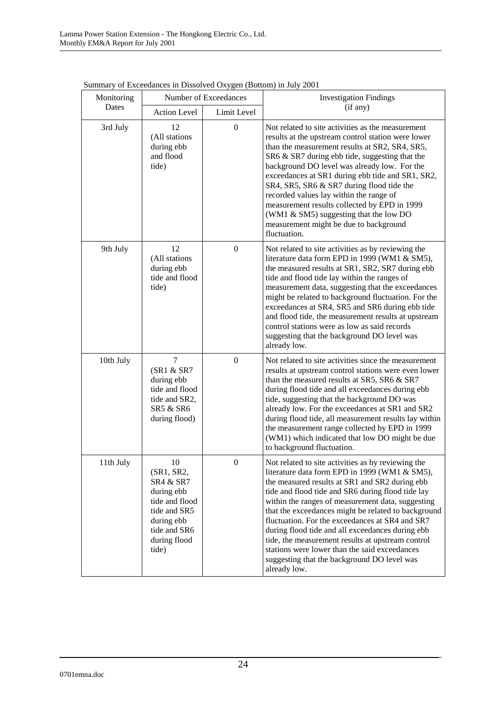| Monitoring | Number of Exceedances                                                                                                                |                  | Summary of Execcuances in Dissorved Oxygen (Douom) in Jury 2001<br><b>Investigation Findings</b>                                                                                                                                                                                                                                                                                                                                                                                                                                                                                                   |
|------------|--------------------------------------------------------------------------------------------------------------------------------------|------------------|----------------------------------------------------------------------------------------------------------------------------------------------------------------------------------------------------------------------------------------------------------------------------------------------------------------------------------------------------------------------------------------------------------------------------------------------------------------------------------------------------------------------------------------------------------------------------------------------------|
| Dates      | <b>Action Level</b>                                                                                                                  | Limit Level      | (if any)                                                                                                                                                                                                                                                                                                                                                                                                                                                                                                                                                                                           |
| 3rd July   | 12<br>(All stations<br>during ebb<br>and flood<br>tide)                                                                              | $\boldsymbol{0}$ | Not related to site activities as the measurement<br>results at the upstream control station were lower<br>than the measurement results at SR2, SR4, SR5,<br>SR6 & SR7 during ebb tide, suggesting that the<br>background DO level was already low. For the<br>exceedances at SR1 during ebb tide and SR1, SR2,<br>SR4, SR5, SR6 & SR7 during flood tide the<br>recorded values lay within the range of<br>measurement results collected by EPD in 1999<br>(WM1 & SM5) suggesting that the low DO<br>measurement might be due to background<br>fluctuation.                                        |
| 9th July   | 12<br>(All stations<br>during ebb<br>tide and flood<br>tide)                                                                         | $\boldsymbol{0}$ | Not related to site activities as by reviewing the<br>literature data form EPD in 1999 (WM1 & SM5),<br>the measured results at SR1, SR2, SR7 during ebb<br>tide and flood tide lay within the ranges of<br>measurement data, suggesting that the exceedances<br>might be related to background fluctuation. For the<br>exceedances at SR4, SR5 and SR6 during ebb tide<br>and flood tide, the measurement results at upstream<br>control stations were as low as said records<br>suggesting that the background DO level was<br>already low.                                                       |
| 10th July  | $\overline{7}$<br>(SR1 & SR7<br>during ebb<br>tide and flood<br>tide and SR2,<br>SR5 & SR6<br>during flood)                          | $\overline{0}$   | Not related to site activities since the measurement<br>results at upstream control stations were even lower<br>than the measured results at SR5, SR6 & SR7<br>during flood tide and all exceedances during ebb<br>tide, suggesting that the background DO was<br>already low. For the exceedances at SR1 and SR2<br>during flood tide, all measurement results lay within<br>the measurement range collected by EPD in 1999<br>(WM1) which indicated that low DO might be due<br>to background fluctuation.                                                                                       |
| 11th July  | 10<br>(SR1, SR2,<br>SR4 & SR7<br>during ebb<br>tide and flood<br>tide and SR5<br>during ebb<br>tide and SR6<br>during flood<br>tide) | $\Omega$         | Not related to site activities as by reviewing the<br>literature data form EPD in 1999 (WM1 & SM5),<br>the measured results at SR1 and SR2 during ebb<br>tide and flood tide and SR6 during flood tide lay<br>within the ranges of measurement data, suggesting<br>that the exceedances might be related to background<br>fluctuation. For the exceedances at SR4 and SR7<br>during flood tide and all exceedances during ebb<br>tide, the measurement results at upstream control<br>stations were lower than the said exceedances<br>suggesting that the background DO level was<br>already low. |

Summary of Exceedances in Dissolved Oxygen (Bottom) in July 2001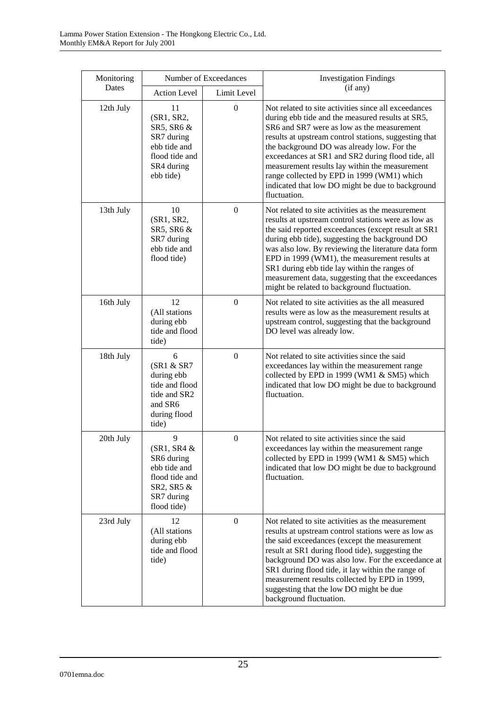| Monitoring |                                                                                                                  | Number of Exceedances | <b>Investigation Findings</b>                                                                                                                                                                                                                                                                                                                                                                                                                                                          |
|------------|------------------------------------------------------------------------------------------------------------------|-----------------------|----------------------------------------------------------------------------------------------------------------------------------------------------------------------------------------------------------------------------------------------------------------------------------------------------------------------------------------------------------------------------------------------------------------------------------------------------------------------------------------|
| Dates      | <b>Action Level</b>                                                                                              | Limit Level           | (if any)                                                                                                                                                                                                                                                                                                                                                                                                                                                                               |
| 12th July  | 11<br>(SR1, SR2,<br>SR5, SR6 &<br>SR7 during<br>ebb tide and<br>flood tide and<br>SR4 during<br>ebb tide)        | $\boldsymbol{0}$      | Not related to site activities since all exceedances<br>during ebb tide and the measured results at SR5,<br>SR6 and SR7 were as low as the measurement<br>results at upstream control stations, suggesting that<br>the background DO was already low. For the<br>exceedances at SR1 and SR2 during flood tide, all<br>measurement results lay within the measurement<br>range collected by EPD in 1999 (WM1) which<br>indicated that low DO might be due to background<br>fluctuation. |
| 13th July  | 10<br>(SR1, SR2,<br>SR5, SR6 &<br>SR7 during<br>ebb tide and<br>flood tide)                                      | $\boldsymbol{0}$      | Not related to site activities as the measurement<br>results at upstream control stations were as low as<br>the said reported exceedances (except result at SR1<br>during ebb tide), suggesting the background DO<br>was also low. By reviewing the literature data form<br>EPD in 1999 (WM1), the measurement results at<br>SR1 during ebb tide lay within the ranges of<br>measurement data, suggesting that the exceedances<br>might be related to background fluctuation.          |
| 16th July  | 12<br>(All stations<br>during ebb<br>tide and flood<br>tide)                                                     | $\boldsymbol{0}$      | Not related to site activities as the all measured<br>results were as low as the measurement results at<br>upstream control, suggesting that the background<br>DO level was already low.                                                                                                                                                                                                                                                                                               |
| 18th July  | 6<br>(SR1 & SR7<br>during ebb<br>tide and flood<br>tide and SR2<br>and SR6<br>during flood<br>tide)              | $\boldsymbol{0}$      | Not related to site activities since the said<br>exceedances lay within the measurement range<br>collected by EPD in 1999 (WM1 & SM5) which<br>indicated that low DO might be due to background<br>fluctuation.                                                                                                                                                                                                                                                                        |
| 20th July  | 9<br>$(SR1, SR4 \& )$<br>SR6 during<br>ebb tide and<br>flood tide and<br>SR2, SR5 &<br>SR7 during<br>flood tide) | $\mathbf{0}$          | Not related to site activities since the said<br>exceedances lay within the measurement range<br>collected by EPD in 1999 (WM1 & SM5) which<br>indicated that low DO might be due to background<br>fluctuation.                                                                                                                                                                                                                                                                        |
| 23rd July  | 12<br>(All stations<br>during ebb<br>tide and flood<br>tide)                                                     | $\boldsymbol{0}$      | Not related to site activities as the measurement<br>results at upstream control stations were as low as<br>the said exceedances (except the measurement<br>result at SR1 during flood tide), suggesting the<br>background DO was also low. For the exceedance at<br>SR1 during flood tide, it lay within the range of<br>measurement results collected by EPD in 1999,<br>suggesting that the low DO might be due<br>background fluctuation.                                          |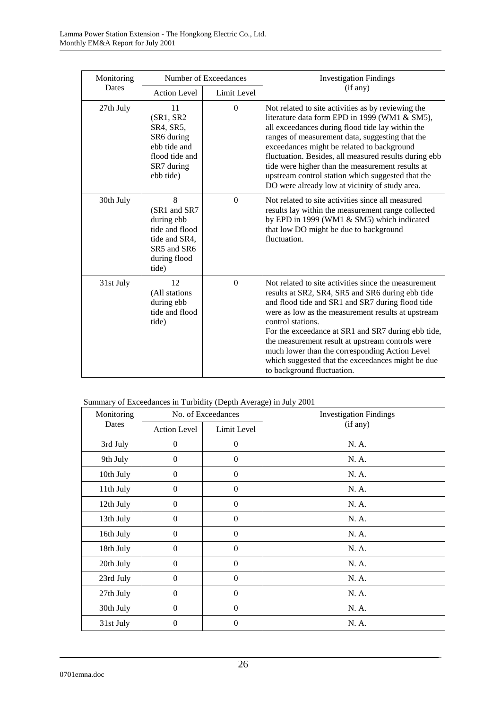| Monitoring | Number of Exceedances                                                                                      |              | <b>Investigation Findings</b>                                                                                                                                                                                                                                                                                                                                                                                                                                                          |
|------------|------------------------------------------------------------------------------------------------------------|--------------|----------------------------------------------------------------------------------------------------------------------------------------------------------------------------------------------------------------------------------------------------------------------------------------------------------------------------------------------------------------------------------------------------------------------------------------------------------------------------------------|
| Dates      | <b>Action Level</b>                                                                                        | Limit Level  | (if any)                                                                                                                                                                                                                                                                                                                                                                                                                                                                               |
| 27th July  | 11<br>(SR1, SR2)<br>SR4, SR5,<br>SR6 during<br>ebb tide and<br>flood tide and<br>SR7 during<br>ebb tide)   | $\theta$     | Not related to site activities as by reviewing the<br>literature data form EPD in 1999 (WM1 & SM5),<br>all exceedances during flood tide lay within the<br>ranges of measurement data, suggesting that the<br>exceedances might be related to background<br>fluctuation. Besides, all measured results during ebb<br>tide were higher than the measurement results at<br>upstream control station which suggested that the<br>DO were already low at vicinity of study area.           |
| 30th July  | 8<br>(SR1 and SR7<br>during ebb<br>tide and flood<br>tide and SR4,<br>SR5 and SR6<br>during flood<br>tide) | $\Omega$     | Not related to site activities since all measured<br>results lay within the measurement range collected<br>by EPD in 1999 (WM1 & SM5) which indicated<br>that low DO might be due to background<br>fluctuation.                                                                                                                                                                                                                                                                        |
| 31st July  | 12<br>(All stations<br>during ebb<br>tide and flood<br>tide)                                               | $\mathbf{0}$ | Not related to site activities since the measurement<br>results at SR2, SR4, SR5 and SR6 during ebb tide<br>and flood tide and SR1 and SR7 during flood tide<br>were as low as the measurement results at upstream<br>control stations.<br>For the exceedance at SR1 and SR7 during ebb tide,<br>the measurement result at upstream controls were<br>much lower than the corresponding Action Level<br>which suggested that the exceedances might be due<br>to background fluctuation. |

### Summary of Exceedances in Turbidity (Depth Average) in July 2001

| Monitoring | No. of Exceedances  |                  | <b>Investigation Findings</b> |
|------------|---------------------|------------------|-------------------------------|
| Dates      | <b>Action Level</b> | Limit Level      | (if any)                      |
| 3rd July   | $\mathbf{0}$        | $\mathbf{0}$     | N. A.                         |
| 9th July   | $\theta$            | $\mathbf{0}$     | N. A.                         |
| 10th July  | $\boldsymbol{0}$    | $\boldsymbol{0}$ | N. A.                         |
| 11th July  | $\boldsymbol{0}$    | $\boldsymbol{0}$ | N. A.                         |
| 12th July  | $\boldsymbol{0}$    | $\boldsymbol{0}$ | N. A.                         |
| 13th July  | $\boldsymbol{0}$    | $\boldsymbol{0}$ | N. A.                         |
| 16th July  | $\boldsymbol{0}$    | $\boldsymbol{0}$ | N. A.                         |
| 18th July  | $\boldsymbol{0}$    | $\boldsymbol{0}$ | N. A.                         |
| 20th July  | $\theta$            | $\boldsymbol{0}$ | N. A.                         |
| 23rd July  | $\theta$            | $\boldsymbol{0}$ | N. A.                         |
| 27th July  | $\theta$            | $\boldsymbol{0}$ | N. A.                         |
| 30th July  | $\theta$            | $\mathbf{0}$     | N. A.                         |
| 31st July  | $\theta$            | $\mathbf{0}$     | N. A.                         |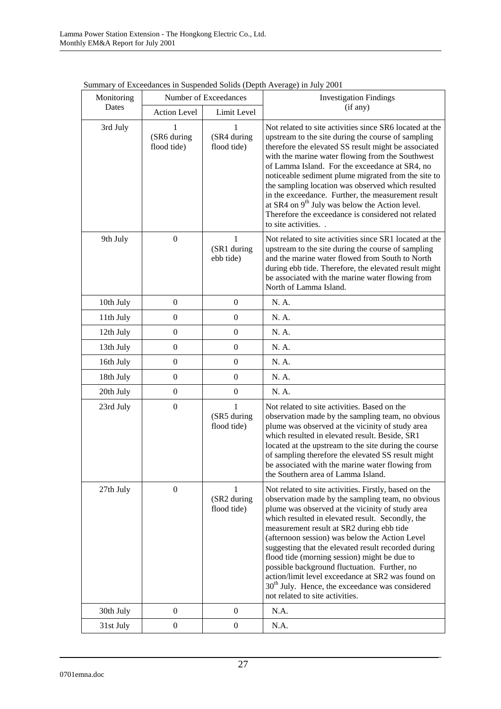| Monitoring |                                 | Number of Exceedances                      | Summary of Exceedances in Suspended Sonds (Deput Average) in Jury 2001<br><b>Investigation Findings</b>                                                                                                                                                                                                                                                                                                                                                                                                                                                                                                               |
|------------|---------------------------------|--------------------------------------------|-----------------------------------------------------------------------------------------------------------------------------------------------------------------------------------------------------------------------------------------------------------------------------------------------------------------------------------------------------------------------------------------------------------------------------------------------------------------------------------------------------------------------------------------------------------------------------------------------------------------------|
| Dates      | <b>Action Level</b>             | Limit Level                                | (if any)                                                                                                                                                                                                                                                                                                                                                                                                                                                                                                                                                                                                              |
| 3rd July   | 1<br>(SR6 during<br>flood tide) | 1<br>(SR4 during<br>flood tide)            | Not related to site activities since SR6 located at the<br>upstream to the site during the course of sampling<br>therefore the elevated SS result might be associated<br>with the marine water flowing from the Southwest<br>of Lamma Island. For the exceedance at SR4, no<br>noticeable sediment plume migrated from the site to<br>the sampling location was observed which resulted<br>in the exceedance. Further, the measurement result<br>at SR4 on $9th$ July was below the Action level.<br>Therefore the exceedance is considered not related<br>to site activities                                         |
| 9th July   | $\boldsymbol{0}$                | 1<br>(SR1 during<br>ebb tide)              | Not related to site activities since SR1 located at the<br>upstream to the site during the course of sampling<br>and the marine water flowed from South to North<br>during ebb tide. Therefore, the elevated result might<br>be associated with the marine water flowing from<br>North of Lamma Island.                                                                                                                                                                                                                                                                                                               |
| 10th July  | $\mathbf{0}$                    | $\boldsymbol{0}$                           | N. A.                                                                                                                                                                                                                                                                                                                                                                                                                                                                                                                                                                                                                 |
| 11th July  | $\boldsymbol{0}$                | $\overline{0}$                             | N. A.                                                                                                                                                                                                                                                                                                                                                                                                                                                                                                                                                                                                                 |
| 12th July  | $\overline{0}$                  | $\boldsymbol{0}$                           | N. A.                                                                                                                                                                                                                                                                                                                                                                                                                                                                                                                                                                                                                 |
| 13th July  | $\boldsymbol{0}$                | $\mathbf{0}$                               | N. A.                                                                                                                                                                                                                                                                                                                                                                                                                                                                                                                                                                                                                 |
| 16th July  | $\boldsymbol{0}$                | $\overline{0}$                             | N. A.                                                                                                                                                                                                                                                                                                                                                                                                                                                                                                                                                                                                                 |
| 18th July  | $\overline{0}$                  | $\mathbf{0}$                               | N. A.                                                                                                                                                                                                                                                                                                                                                                                                                                                                                                                                                                                                                 |
| 20th July  | $\boldsymbol{0}$                | $\mathbf{0}$                               | N. A.                                                                                                                                                                                                                                                                                                                                                                                                                                                                                                                                                                                                                 |
| 23rd July  | $\boldsymbol{0}$                | 1<br>(SR5 during<br>flood tide)            | Not related to site activities. Based on the<br>observation made by the sampling team, no obvious<br>plume was observed at the vicinity of study area<br>which resulted in elevated result. Beside, SR1<br>located at the upstream to the site during the course<br>of sampling therefore the elevated SS result might<br>be associated with the marine water flowing from<br>the Southern area of Lamma Island.                                                                                                                                                                                                      |
| 27th July  | $\mathbf{0}$                    | $\mathbf{1}$<br>(SR2 during<br>flood tide) | Not related to site activities. Firstly, based on the<br>observation made by the sampling team, no obvious<br>plume was observed at the vicinity of study area<br>which resulted in elevated result. Secondly, the<br>measurement result at SR2 during ebb tide<br>(afternoon session) was below the Action Level<br>suggesting that the elevated result recorded during<br>flood tide (morning session) might be due to<br>possible background fluctuation. Further, no<br>action/limit level exceedance at SR2 was found on<br>$30th$ July. Hence, the exceedance was considered<br>not related to site activities. |
| 30th July  | $\boldsymbol{0}$                | $\boldsymbol{0}$                           | N.A.                                                                                                                                                                                                                                                                                                                                                                                                                                                                                                                                                                                                                  |
| 31st July  | $\boldsymbol{0}$                | $\boldsymbol{0}$                           | N.A.                                                                                                                                                                                                                                                                                                                                                                                                                                                                                                                                                                                                                  |

Summary of Exceedances in Suspended Solids (Depth Average) in July 2001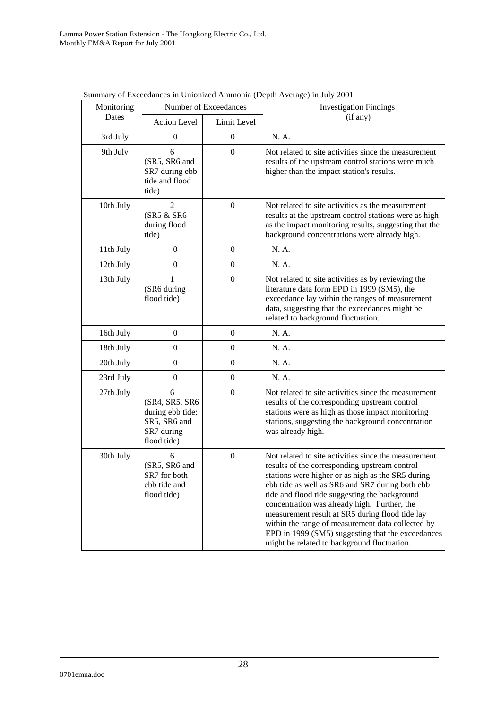| Monitoring | $\beta$ of Executatives in Unionized Trillhoma (Depth Tiverage) in Jury 2001         | Number of Exceedances | <b>Investigation Findings</b>                                                                                                                                                                                                                                                                                                                                                                                                                                                                                              |
|------------|--------------------------------------------------------------------------------------|-----------------------|----------------------------------------------------------------------------------------------------------------------------------------------------------------------------------------------------------------------------------------------------------------------------------------------------------------------------------------------------------------------------------------------------------------------------------------------------------------------------------------------------------------------------|
| Dates      | <b>Action Level</b>                                                                  | Limit Level           | (if any)                                                                                                                                                                                                                                                                                                                                                                                                                                                                                                                   |
| 3rd July   | $\mathbf{0}$                                                                         | $\theta$              | N. A.                                                                                                                                                                                                                                                                                                                                                                                                                                                                                                                      |
| 9th July   | 6<br>(SR5, SR6 and<br>SR7 during ebb<br>tide and flood<br>tide)                      | $\overline{0}$        | Not related to site activities since the measurement<br>results of the upstream control stations were much<br>higher than the impact station's results.                                                                                                                                                                                                                                                                                                                                                                    |
| 10th July  | 2<br>(SR5 & SR6<br>during flood<br>tide)                                             | $\boldsymbol{0}$      | Not related to site activities as the measurement<br>results at the upstream control stations were as high<br>as the impact monitoring results, suggesting that the<br>background concentrations were already high.                                                                                                                                                                                                                                                                                                        |
| 11th July  | $\overline{0}$                                                                       | $\overline{0}$        | N. A.                                                                                                                                                                                                                                                                                                                                                                                                                                                                                                                      |
| 12th July  | $\mathbf{0}$                                                                         | $\boldsymbol{0}$      | N. A.                                                                                                                                                                                                                                                                                                                                                                                                                                                                                                                      |
| 13th July  | (SR6 during<br>flood tide)                                                           | $\boldsymbol{0}$      | Not related to site activities as by reviewing the<br>literature data form EPD in 1999 (SM5), the<br>exceedance lay within the ranges of measurement<br>data, suggesting that the exceedances might be<br>related to background fluctuation.                                                                                                                                                                                                                                                                               |
| 16th July  | $\Omega$                                                                             | $\overline{0}$        | N. A.                                                                                                                                                                                                                                                                                                                                                                                                                                                                                                                      |
| 18th July  | $\mathbf{0}$                                                                         | $\boldsymbol{0}$      | N. A.                                                                                                                                                                                                                                                                                                                                                                                                                                                                                                                      |
| 20th July  | $\overline{0}$                                                                       | $\boldsymbol{0}$      | N. A.                                                                                                                                                                                                                                                                                                                                                                                                                                                                                                                      |
| 23rd July  | $\boldsymbol{0}$                                                                     | $\boldsymbol{0}$      | N. A.                                                                                                                                                                                                                                                                                                                                                                                                                                                                                                                      |
| 27th July  | 6<br>(SR4, SR5, SR6<br>during ebb tide;<br>SR5, SR6 and<br>SR7 during<br>flood tide) | $\boldsymbol{0}$      | Not related to site activities since the measurement<br>results of the corresponding upstream control<br>stations were as high as those impact monitoring<br>stations, suggesting the background concentration<br>was already high.                                                                                                                                                                                                                                                                                        |
| 30th July  | 6<br>(SR5, SR6 and<br>SR7 for both<br>ebb tide and<br>flood tide)                    | $\overline{0}$        | Not related to site activities since the measurement<br>results of the corresponding upstream control<br>stations were higher or as high as the SR5 during<br>ebb tide as well as SR6 and SR7 during both ebb<br>tide and flood tide suggesting the background<br>concentration was already high. Further, the<br>measurement result at SR5 during flood tide lay<br>within the range of measurement data collected by<br>EPD in 1999 (SM5) suggesting that the exceedances<br>might be related to background fluctuation. |

Summary of Exceedances in Unionized Ammonia (Depth Average) in July 2001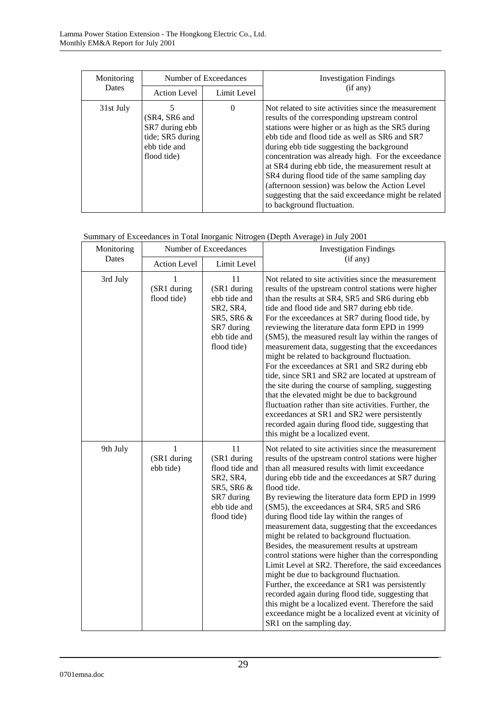| Monitoring   | Number of Exceedances                                                              |             | <b>Investigation Findings</b>                                                                                                                                                                                                                                                                                                                                                                                                                                                                                                                                  |
|--------------|------------------------------------------------------------------------------------|-------------|----------------------------------------------------------------------------------------------------------------------------------------------------------------------------------------------------------------------------------------------------------------------------------------------------------------------------------------------------------------------------------------------------------------------------------------------------------------------------------------------------------------------------------------------------------------|
| <b>Dates</b> | <b>Action Level</b>                                                                | Limit Level | (if any)                                                                                                                                                                                                                                                                                                                                                                                                                                                                                                                                                       |
| 31st July    | (SR4, SR6 and<br>SR7 during ebb<br>tide; SR5 during<br>ebb tide and<br>flood tide) | $\Omega$    | Not related to site activities since the measurement<br>results of the corresponding upstream control<br>stations were higher or as high as the SR5 during<br>ebb tide and flood tide as well as SR6 and SR7<br>during ebb tide suggesting the background<br>concentration was already high. For the exceedance<br>at SR4 during ebb tide, the measurement result at<br>SR4 during flood tide of the same sampling day<br>(afternoon session) was below the Action Level<br>suggesting that the said exceedance might be related<br>to background fluctuation. |

|  | Summary of Exceedances in Total Inorganic Nitrogen (Depth Average) in July 2001 |
|--|---------------------------------------------------------------------------------|
|  |                                                                                 |

| Monitoring | Number of Exceedances         |                                                                                                             | <b>Investigation Findings</b>                                                                                                                                                                                                                                                                                                                                                                                                                                                                                                                                                                                                                                                                                                                                                                                                                                                                                                                        |
|------------|-------------------------------|-------------------------------------------------------------------------------------------------------------|------------------------------------------------------------------------------------------------------------------------------------------------------------------------------------------------------------------------------------------------------------------------------------------------------------------------------------------------------------------------------------------------------------------------------------------------------------------------------------------------------------------------------------------------------------------------------------------------------------------------------------------------------------------------------------------------------------------------------------------------------------------------------------------------------------------------------------------------------------------------------------------------------------------------------------------------------|
| Dates      | <b>Action Level</b>           | Limit Level                                                                                                 | (if any)                                                                                                                                                                                                                                                                                                                                                                                                                                                                                                                                                                                                                                                                                                                                                                                                                                                                                                                                             |
| 3rd July   | (SR1 during<br>flood tide)    | 11<br>(SR1 during<br>ebb tide and<br>SR2, SR4,<br>SR5, SR6 &<br>SR7 during<br>ebb tide and<br>flood tide)   | Not related to site activities since the measurement<br>results of the upstream control stations were higher<br>than the results at SR4, SR5 and SR6 during ebb<br>tide and flood tide and SR7 during ebb tide.<br>For the exceedances at SR7 during flood tide, by<br>reviewing the literature data form EPD in 1999<br>(SM5), the measured result lay within the ranges of<br>measurement data, suggesting that the exceedances<br>might be related to background fluctuation.<br>For the exceedances at SR1 and SR2 during ebb<br>tide, since SR1 and SR2 are located at upstream of<br>the site during the course of sampling, suggesting<br>that the elevated might be due to background<br>fluctuation rather than site activities. Further, the<br>exceedances at SR1 and SR2 were persistently<br>recorded again during flood tide, suggesting that<br>this might be a localized event.                                                      |
| 9th July   | 1<br>(SR1 during<br>ebb tide) | 11<br>(SR1 during<br>flood tide and<br>SR2, SR4,<br>SR5, SR6 &<br>SR7 during<br>ebb tide and<br>flood tide) | Not related to site activities since the measurement<br>results of the upstream control stations were higher<br>than all measured results with limit exceedance<br>during ebb tide and the exceedances at SR7 during<br>flood tide.<br>By reviewing the literature data form EPD in 1999<br>(SM5), the exceedances at SR4, SR5 and SR6<br>during flood tide lay within the ranges of<br>measurement data, suggesting that the exceedances<br>might be related to background fluctuation.<br>Besides, the measurement results at upstream<br>control stations were higher than the corresponding<br>Limit Level at SR2. Therefore, the said exceedances<br>might be due to background fluctuation.<br>Further, the exceedance at SR1 was persistently<br>recorded again during flood tide, suggesting that<br>this might be a localized event. Therefore the said<br>exceedance might be a localized event at vicinity of<br>SR1 on the sampling day. |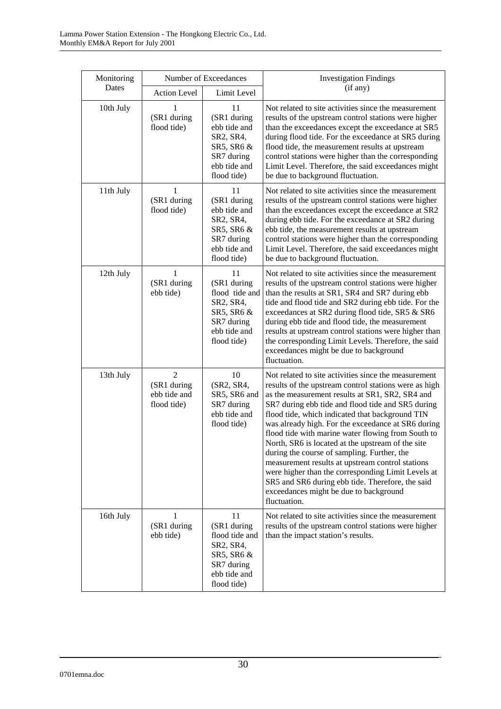| Monitoring |                                                              | Number of Exceedances                                                                                       | <b>Investigation Findings</b>                                                                                                                                                                                                                                                                                                                                                                                                                                                                                                                                                                                                                                                                                    |
|------------|--------------------------------------------------------------|-------------------------------------------------------------------------------------------------------------|------------------------------------------------------------------------------------------------------------------------------------------------------------------------------------------------------------------------------------------------------------------------------------------------------------------------------------------------------------------------------------------------------------------------------------------------------------------------------------------------------------------------------------------------------------------------------------------------------------------------------------------------------------------------------------------------------------------|
| Dates      | Action Level                                                 | Limit Level                                                                                                 | (if any)                                                                                                                                                                                                                                                                                                                                                                                                                                                                                                                                                                                                                                                                                                         |
| 10th July  | 1<br>(SR1 during<br>flood tide)                              | 11<br>(SR1 during<br>ebb tide and<br>SR2, SR4,<br>SR5, SR6 &<br>SR7 during<br>ebb tide and<br>flood tide)   | Not related to site activities since the measurement<br>results of the upstream control stations were higher<br>than the exceedances except the exceedance at SR5<br>during flood tide. For the exceedance at SR5 during<br>flood tide, the measurement results at upstream<br>control stations were higher than the corresponding<br>Limit Level. Therefore, the said exceedances might<br>be due to background fluctuation.                                                                                                                                                                                                                                                                                    |
| 11th July  | 1<br>(SR1 during<br>flood tide)                              | 11<br>(SR1 during<br>ebb tide and<br>SR2, SR4,<br>SR5, SR6 &<br>SR7 during<br>ebb tide and<br>flood tide)   | Not related to site activities since the measurement<br>results of the upstream control stations were higher<br>than the exceedances except the exceedance at SR2<br>during ebb tide. For the exceedance at SR2 during<br>ebb tide, the measurement results at upstream<br>control stations were higher than the corresponding<br>Limit Level. Therefore, the said exceedances might<br>be due to background fluctuation.                                                                                                                                                                                                                                                                                        |
| 12th July  | 1<br>(SR1 during<br>ebb tide)                                | 11<br>(SR1 during<br>flood tide and<br>SR2, SR4,<br>SR5, SR6 &<br>SR7 during<br>ebb tide and<br>flood tide) | Not related to site activities since the measurement<br>results of the upstream control stations were higher<br>than the results at SR1, SR4 and SR7 during ebb<br>tide and flood tide and SR2 during ebb tide. For the<br>exceedances at SR2 during flood tide, SR5 & SR6<br>during ebb tide and flood tide, the measurement<br>results at upstream control stations were higher than<br>the corresponding Limit Levels. Therefore, the said<br>exceedances might be due to background<br>fluctuation.                                                                                                                                                                                                          |
| 13th July  | $\overline{2}$<br>(SR1 during<br>ebb tide and<br>flood tide) | 10<br>(SR2, SR4,<br>SR5, SR6 and<br>SR7 during<br>ebb tide and<br>flood tide)                               | Not related to site activities since the measurement<br>results of the upstream control stations were as high<br>as the measurement results at SR1, SR2, SR4 and<br>SR7 during ebb tide and flood tide and SR5 during<br>flood tide, which indicated that background TIN<br>was already high. For the exceedance at SR6 during<br>flood tide with marine water flowing from South to<br>North, SR6 is located at the upstream of the site<br>during the course of sampling. Further, the<br>measurement results at upstream control stations<br>were higher than the corresponding Limit Levels at<br>SR5 and SR6 during ebb tide. Therefore, the said<br>exceedances might be due to background<br>fluctuation. |
| 16th July  | 1<br>(SR1 during<br>ebb tide)                                | 11<br>(SR1 during<br>flood tide and<br>SR2, SR4,<br>SR5, SR6 &<br>SR7 during<br>ebb tide and<br>flood tide) | Not related to site activities since the measurement<br>results of the upstream control stations were higher<br>than the impact station's results.                                                                                                                                                                                                                                                                                                                                                                                                                                                                                                                                                               |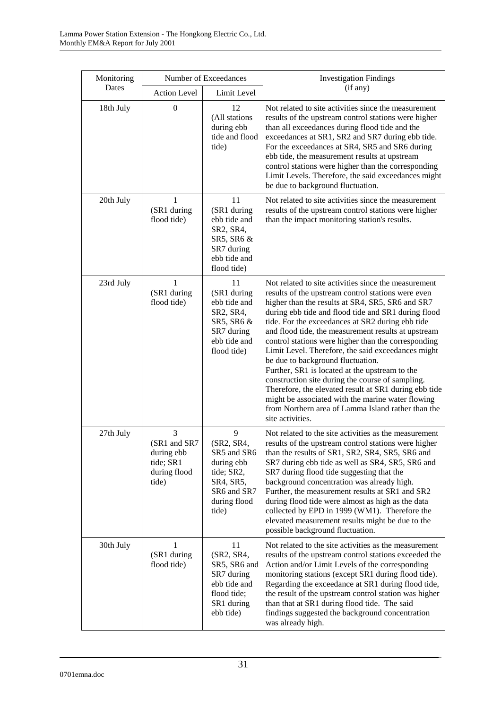| Monitoring |                                                                       | Number of Exceedances                                                                                           | <b>Investigation Findings</b>                                                                                                                                                                                                                                                                                                                                                                                                                                                                                                                                                                                                                                                                                                                                                    |
|------------|-----------------------------------------------------------------------|-----------------------------------------------------------------------------------------------------------------|----------------------------------------------------------------------------------------------------------------------------------------------------------------------------------------------------------------------------------------------------------------------------------------------------------------------------------------------------------------------------------------------------------------------------------------------------------------------------------------------------------------------------------------------------------------------------------------------------------------------------------------------------------------------------------------------------------------------------------------------------------------------------------|
| Dates      | <b>Action Level</b>                                                   | Limit Level                                                                                                     | (if any)                                                                                                                                                                                                                                                                                                                                                                                                                                                                                                                                                                                                                                                                                                                                                                         |
| 18th July  | $\boldsymbol{0}$                                                      | 12<br>(All stations<br>during ebb<br>tide and flood<br>tide)                                                    | Not related to site activities since the measurement<br>results of the upstream control stations were higher<br>than all exceedances during flood tide and the<br>exceedances at SR1, SR2 and SR7 during ebb tide.<br>For the exceedances at SR4, SR5 and SR6 during<br>ebb tide, the measurement results at upstream<br>control stations were higher than the corresponding<br>Limit Levels. Therefore, the said exceedances might<br>be due to background fluctuation.                                                                                                                                                                                                                                                                                                         |
| 20th July  | 1<br>(SR1 during<br>flood tide)                                       | 11<br>(SR1 during<br>ebb tide and<br>SR2, SR4,<br>SR5, SR6 &<br>SR7 during<br>ebb tide and<br>flood tide)       | Not related to site activities since the measurement<br>results of the upstream control stations were higher<br>than the impact monitoring station's results.                                                                                                                                                                                                                                                                                                                                                                                                                                                                                                                                                                                                                    |
| 23rd July  | 1<br>(SR1 during<br>flood tide)                                       | 11<br>(SR1 during<br>ebb tide and<br>SR2, SR4,<br>SR5, SR6 &<br>SR7 during<br>ebb tide and<br>flood tide)       | Not related to site activities since the measurement<br>results of the upstream control stations were even<br>higher than the results at SR4, SR5, SR6 and SR7<br>during ebb tide and flood tide and SR1 during flood<br>tide. For the exceedances at SR2 during ebb tide<br>and flood tide, the measurement results at upstream<br>control stations were higher than the corresponding<br>Limit Level. Therefore, the said exceedances might<br>be due to background fluctuation.<br>Further, SR1 is located at the upstream to the<br>construction site during the course of sampling.<br>Therefore, the elevated result at SR1 during ebb tide<br>might be associated with the marine water flowing<br>from Northern area of Lamma Island rather than the<br>site activities. |
| 27th July  | 3<br>(SR1 and SR7<br>during ebb<br>tide; SR1<br>during flood<br>tide) | 9<br>(SR2, SR4,<br>SR5 and SR6<br>during ebb<br>tide; SR2,<br>SR4, SR5,<br>SR6 and SR7<br>during flood<br>tide) | Not related to the site activities as the measurement<br>results of the upstream control stations were higher<br>than the results of SR1, SR2, SR4, SR5, SR6 and<br>SR7 during ebb tide as well as SR4, SR5, SR6 and<br>SR7 during flood tide suggesting that the<br>background concentration was already high.<br>Further, the measurement results at SR1 and SR2<br>during flood tide were almost as high as the data<br>collected by EPD in 1999 (WM1). Therefore the<br>elevated measurement results might be due to the<br>possible background fluctuation.                                                                                                                                                                                                                 |
| 30th July  | 1<br>(SR1 during<br>flood tide)                                       | 11<br>(SR2, SR4,<br>SR5, SR6 and<br>SR7 during<br>ebb tide and<br>flood tide;<br>SR1 during<br>ebb tide)        | Not related to the site activities as the measurement<br>results of the upstream control stations exceeded the<br>Action and/or Limit Levels of the corresponding<br>monitoring stations (except SR1 during flood tide).<br>Regarding the exceedance at SR1 during flood tide,<br>the result of the upstream control station was higher<br>than that at SR1 during flood tide. The said<br>findings suggested the background concentration<br>was already high.                                                                                                                                                                                                                                                                                                                  |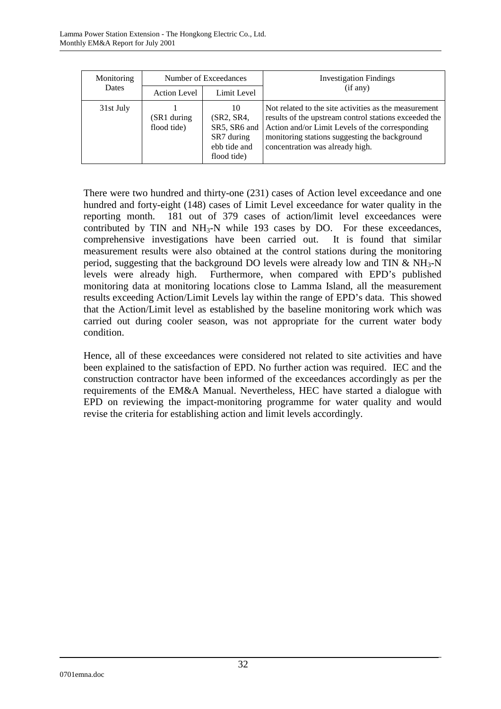| Monitoring<br>Dates | Number of Exceedances      |                                                                               | <b>Investigation Findings</b>                                                                                                                                                                                                                         |
|---------------------|----------------------------|-------------------------------------------------------------------------------|-------------------------------------------------------------------------------------------------------------------------------------------------------------------------------------------------------------------------------------------------------|
|                     | <b>Action Level</b>        | Limit Level                                                                   | (if any)                                                                                                                                                                                                                                              |
| 31st July           | (SR1 during<br>flood tide) | 10<br>(SR2, SR4,<br>SR5, SR6 and<br>SR7 during<br>ebb tide and<br>flood tide) | Not related to the site activities as the measurement<br>results of the upstream control stations exceeded the<br>Action and/or Limit Levels of the corresponding<br>monitoring stations suggesting the background<br>concentration was already high. |

There were two hundred and thirty-one (231) cases of Action level exceedance and one hundred and forty-eight (148) cases of Limit Level exceedance for water quality in the reporting month. 181 out of 379 cases of action/limit level exceedances were contributed by TIN and  $NH<sub>3</sub>-N$  while 193 cases by DO. For these exceedances, comprehensive investigations have been carried out. It is found that similar measurement results were also obtained at the control stations during the monitoring period, suggesting that the background DO levels were already low and TIN  $\&$  NH<sub>3</sub>-N levels were already high. Furthermore, when compared with EPD's published monitoring data at monitoring locations close to Lamma Island, all the measurement results exceeding Action/Limit Levels lay within the range of EPD's data. This showed that the Action/Limit level as established by the baseline monitoring work which was carried out during cooler season, was not appropriate for the current water body condition.

Hence, all of these exceedances were considered not related to site activities and have been explained to the satisfaction of EPD. No further action was required. IEC and the construction contractor have been informed of the exceedances accordingly as per the requirements of the EM&A Manual. Nevertheless, HEC have started a dialogue with EPD on reviewing the impact-monitoring programme for water quality and would revise the criteria for establishing action and limit levels accordingly.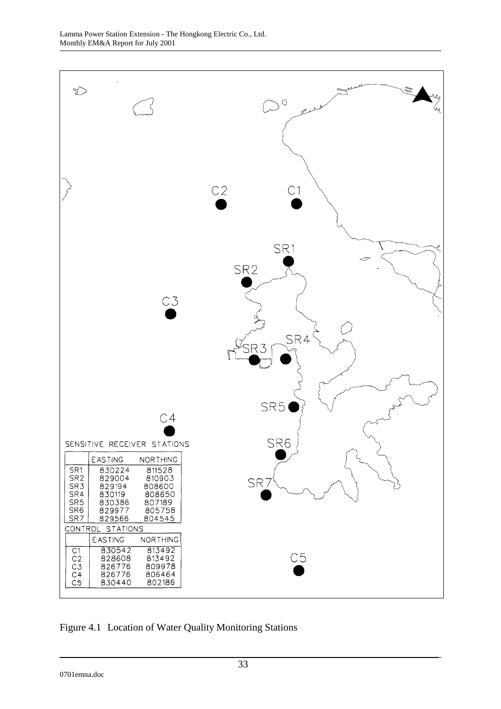

Figure 4.1 Location of Water Quality Monitoring Stations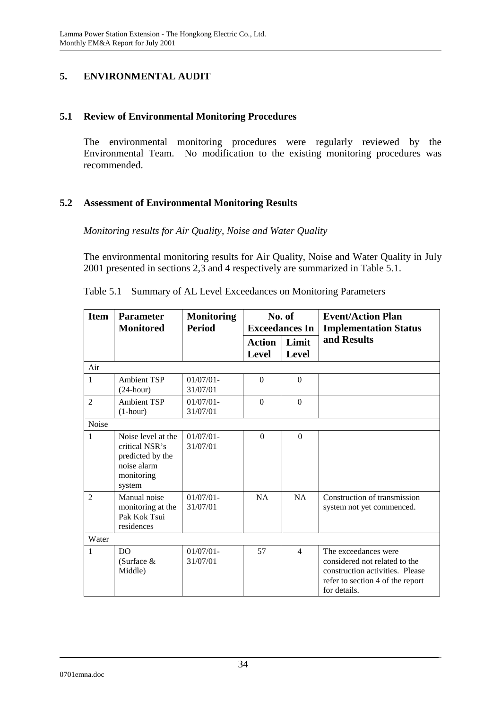### **5. ENVIRONMENTAL AUDIT**

#### **5.1 Review of Environmental Monitoring Procedures**

The environmental monitoring procedures were regularly reviewed by the Environmental Team. No modification to the existing monitoring procedures was recommended.

### **5.2 Assessment of Environmental Monitoring Results**

#### *Monitoring results for Air Quality, Noise and Water Quality*

The environmental monitoring results for Air Quality, Noise and Water Quality in July 2001 presented in sections 2,3 and 4 respectively are summarized in Table 5.1.

| <b>Item</b>    | <b>Parameter</b>                                                                                | <b>Monitoring</b>        | No. of                 |                       | <b>Event/Action Plan</b>                                                                                                                     |  |
|----------------|-------------------------------------------------------------------------------------------------|--------------------------|------------------------|-----------------------|----------------------------------------------------------------------------------------------------------------------------------------------|--|
|                | <b>Monitored</b>                                                                                | <b>Period</b>            | <b>Exceedances In</b>  |                       | <b>Implementation Status</b>                                                                                                                 |  |
|                |                                                                                                 |                          | <b>Action</b><br>Level | Limit<br><b>Level</b> | and Results                                                                                                                                  |  |
| Air            |                                                                                                 |                          |                        |                       |                                                                                                                                              |  |
| $\mathbf{1}$   | <b>Ambient TSP</b><br>$(24$ -hour)                                                              | $01/07/01 -$<br>31/07/01 | $\Omega$               | $\Omega$              |                                                                                                                                              |  |
| 2              | <b>Ambient TSP</b><br>$(1-hour)$                                                                | $01/07/01 -$<br>31/07/01 | $\Omega$               | $\Omega$              |                                                                                                                                              |  |
| Noise          |                                                                                                 |                          |                        |                       |                                                                                                                                              |  |
| $\mathbf{1}$   | Noise level at the<br>critical NSR's<br>predicted by the<br>noise alarm<br>monitoring<br>system | $01/07/01 -$<br>31/07/01 | $\Omega$               | $\Omega$              |                                                                                                                                              |  |
| $\overline{2}$ | Manual noise<br>monitoring at the<br>Pak Kok Tsui<br>residences                                 | $01/07/01 -$<br>31/07/01 | NA                     | <b>NA</b>             | Construction of transmission<br>system not yet commenced.                                                                                    |  |
| Water          |                                                                                                 |                          |                        |                       |                                                                                                                                              |  |
| $\mathbf{1}$   | D <sub>O</sub><br>(Surface $&$<br>Middle)                                                       | $01/07/01 -$<br>31/07/01 | 57                     | $\overline{4}$        | The exceedances were<br>considered not related to the<br>construction activities. Please<br>refer to section 4 of the report<br>for details. |  |

Table 5.1 Summary of AL Level Exceedances on Monitoring Parameters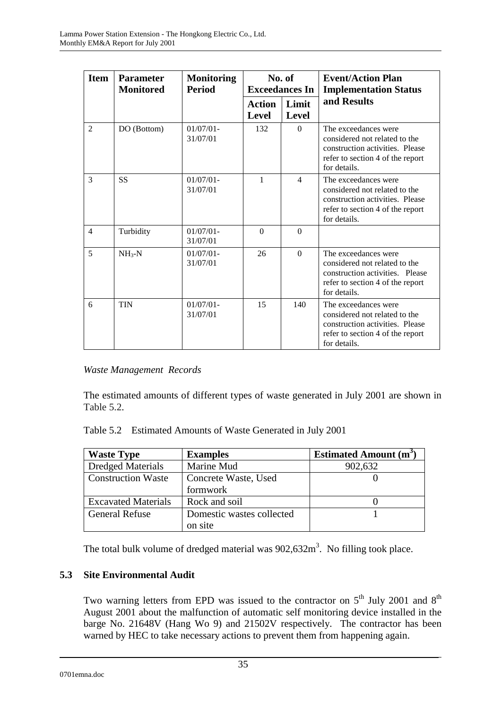| <b>Item</b>    | <b>Parameter</b><br><b>Monitored</b> | No. of<br><b>Monitoring</b><br><b>Period</b><br><b>Exceedances In</b> |                               |                          | <b>Event/Action Plan</b><br><b>Implementation Status</b>                                                                                     |
|----------------|--------------------------------------|-----------------------------------------------------------------------|-------------------------------|--------------------------|----------------------------------------------------------------------------------------------------------------------------------------------|
|                |                                      |                                                                       | <b>Action</b><br><b>Level</b> | Limit<br>Level           | and Results                                                                                                                                  |
| $\mathcal{L}$  | DO (Bottom)                          | $01/07/01 -$<br>31/07/01                                              | 132                           | $\Omega$                 | The exceedances were<br>considered not related to the<br>construction activities. Please<br>refer to section 4 of the report<br>for details. |
| 3              | <b>SS</b>                            | $01/07/01 -$<br>31/07/01                                              | 1                             | $\overline{\mathcal{A}}$ | The exceedances were<br>considered not related to the<br>construction activities. Please<br>refer to section 4 of the report<br>for details. |
| $\overline{4}$ | Turbidity                            | $01/07/01$ -<br>31/07/01                                              | $\Omega$                      | $\Omega$                 |                                                                                                                                              |
| 5              | $NH_{3}-N$                           | $01/07/01$ -<br>31/07/01                                              | 26                            | $\Omega$                 | The exceedances were<br>considered not related to the<br>construction activities. Please<br>refer to section 4 of the report<br>for details. |
| 6              | <b>TIN</b>                           | $01/07/01$ -<br>31/07/01                                              | 15                            | 140                      | The exceedances were<br>considered not related to the<br>construction activities. Please<br>refer to section 4 of the report<br>for details. |

# *Waste Management Records*

The estimated amounts of different types of waste generated in July 2001 are shown in Table 5.2.

| <b>Waste Type</b>          | <b>Examples</b>           | <b>Estimated Amount (m<sup>3</sup></b> |
|----------------------------|---------------------------|----------------------------------------|
| <b>Dredged Materials</b>   | Marine Mud                | 902,632                                |
| <b>Construction Waste</b>  | Concrete Waste, Used      |                                        |
|                            | formwork                  |                                        |
| <b>Excavated Materials</b> | Rock and soil             |                                        |
| <b>General Refuse</b>      | Domestic wastes collected |                                        |
|                            | on site                   |                                        |

The total bulk volume of dredged material was  $902{,}632m<sup>3</sup>$ . No filling took place.

# **5.3 Site Environmental Audit**

Two warning letters from EPD was issued to the contractor on  $5<sup>th</sup>$  July 2001 and  $8<sup>th</sup>$ August 2001 about the malfunction of automatic self monitoring device installed in the barge No. 21648V (Hang Wo 9) and 21502V respectively. The contractor has been warned by HEC to take necessary actions to prevent them from happening again.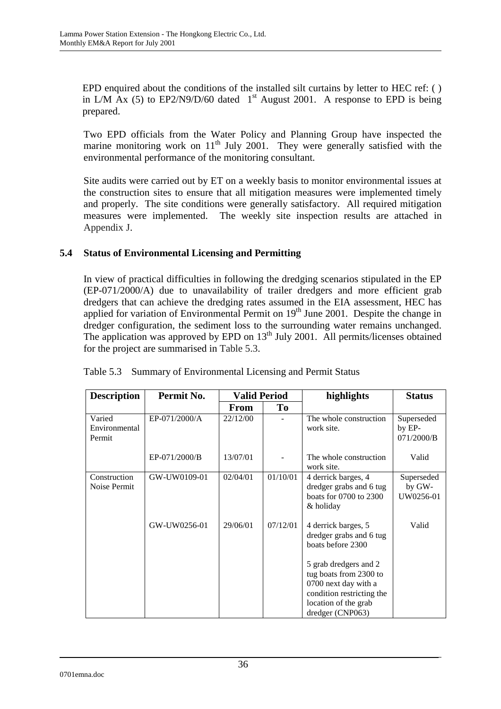EPD enquired about the conditions of the installed silt curtains by letter to HEC ref: ( ) in L/M Ax (5) to EP2/N9/D/60 dated  $1<sup>st</sup>$  August 2001. A response to EPD is being prepared.

Two EPD officials from the Water Policy and Planning Group have inspected the marine monitoring work on  $11<sup>th</sup>$  July 2001. They were generally satisfied with the environmental performance of the monitoring consultant.

Site audits were carried out by ET on a weekly basis to monitor environmental issues at the construction sites to ensure that all mitigation measures were implemented timely and properly. The site conditions were generally satisfactory. All required mitigation measures were implemented. The weekly site inspection results are attached in Appendix J.

### **5.4 Status of Environmental Licensing and Permitting**

In view of practical difficulties in following the dredging scenarios stipulated in the EP (EP-071/2000/A) due to unavailability of trailer dredgers and more efficient grab dredgers that can achieve the dredging rates assumed in the EIA assessment, HEC has applied for variation of Environmental Permit on  $19<sup>th</sup>$  June 2001. Despite the change in dredger configuration, the sediment loss to the surrounding water remains unchanged. The application was approved by EPD on  $13<sup>th</sup>$  July 2001. All permits/licenses obtained for the project are summarised in Table 5.3.

| <b>Description</b>                | Permit No.    | <b>Valid Period</b> |          | highlights                                                                                                                                                                                                              |                                    | <b>Status</b> |
|-----------------------------------|---------------|---------------------|----------|-------------------------------------------------------------------------------------------------------------------------------------------------------------------------------------------------------------------------|------------------------------------|---------------|
|                                   |               | From                | To       |                                                                                                                                                                                                                         |                                    |               |
| Varied<br>Environmental<br>Permit | EP-071/2000/A | 22/12/00            |          | The whole construction<br>work site.                                                                                                                                                                                    | Superseded<br>by EP-<br>071/2000/B |               |
|                                   | EP-071/2000/B | 13/07/01            |          | The whole construction<br>work site.                                                                                                                                                                                    | Valid                              |               |
| Construction<br>Noise Permit      | GW-UW0109-01  | 02/04/01            | 01/10/01 | 4 derrick barges, 4<br>dredger grabs and 6 tug<br>boats for $0700$ to $2300$<br>& holiday                                                                                                                               | Superseded<br>by GW-<br>UW0256-01  |               |
|                                   | GW-UW0256-01  | 29/06/01            | 07/12/01 | 4 derrick barges, 5<br>dredger grabs and 6 tug<br>boats before 2300<br>5 grab dredgers and 2<br>tug boats from 2300 to<br>0700 next day with a<br>condition restricting the<br>location of the grab<br>dredger (CNP063) | Valid                              |               |

Table 5.3 Summary of Environmental Licensing and Permit Status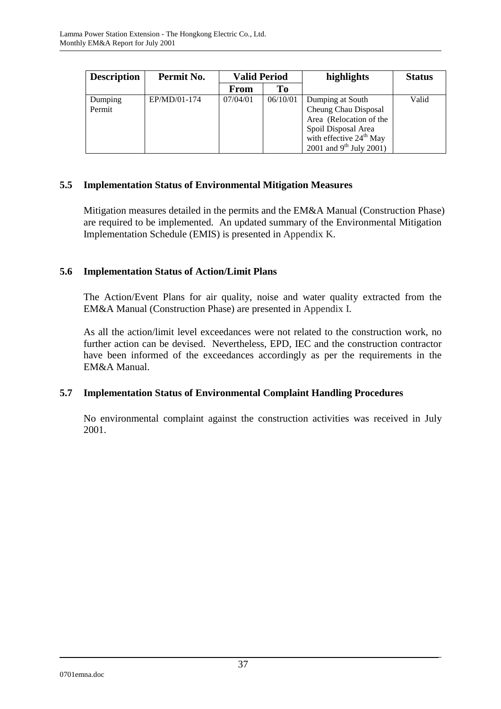| <b>Description</b> | Permit No.   | <b>Valid Period</b> |          | highlights                                                                                                                                              | <b>Status</b> |
|--------------------|--------------|---------------------|----------|---------------------------------------------------------------------------------------------------------------------------------------------------------|---------------|
|                    |              | From                | Tо       |                                                                                                                                                         |               |
| Dumping<br>Permit  | EP/MD/01-174 | 07/04/01            | 06/10/01 | Dumping at South<br>Cheung Chau Disposal<br>Area (Relocation of the<br>Spoil Disposal Area<br>with effective $24th$ May<br>2001 and $9^{th}$ July 2001) | Valid         |

### **5.5 Implementation Status of Environmental Mitigation Measures**

Mitigation measures detailed in the permits and the EM&A Manual (Construction Phase) are required to be implemented. An updated summary of the Environmental Mitigation Implementation Schedule (EMIS) is presented in Appendix K.

### **5.6 Implementation Status of Action/Limit Plans**

The Action/Event Plans for air quality, noise and water quality extracted from the EM&A Manual (Construction Phase) are presented in Appendix I.

As all the action/limit level exceedances were not related to the construction work, no further action can be devised. Nevertheless, EPD, IEC and the construction contractor have been informed of the exceedances accordingly as per the requirements in the EM&A Manual.

### **5.7 Implementation Status of Environmental Complaint Handling Procedures**

No environmental complaint against the construction activities was received in July 2001.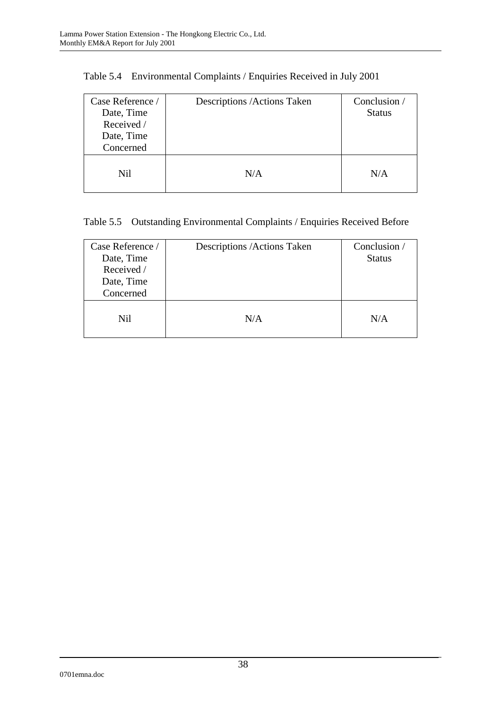| Case Reference /<br>Date, Time<br>Received /<br>Date, Time<br>Concerned | Descriptions / Actions Taken | Conclusion /<br><b>Status</b> |
|-------------------------------------------------------------------------|------------------------------|-------------------------------|
| Nil                                                                     | N/A                          | N/A                           |

Table 5.4 Environmental Complaints / Enquiries Received in July 2001

# Table 5.5 Outstanding Environmental Complaints / Enquiries Received Before

| Case Reference /<br>Date, Time<br>Received /<br>Date, Time<br>Concerned | Descriptions / Actions Taken | Conclusion /<br><b>Status</b> |
|-------------------------------------------------------------------------|------------------------------|-------------------------------|
| Nil                                                                     | N/A                          | N/A                           |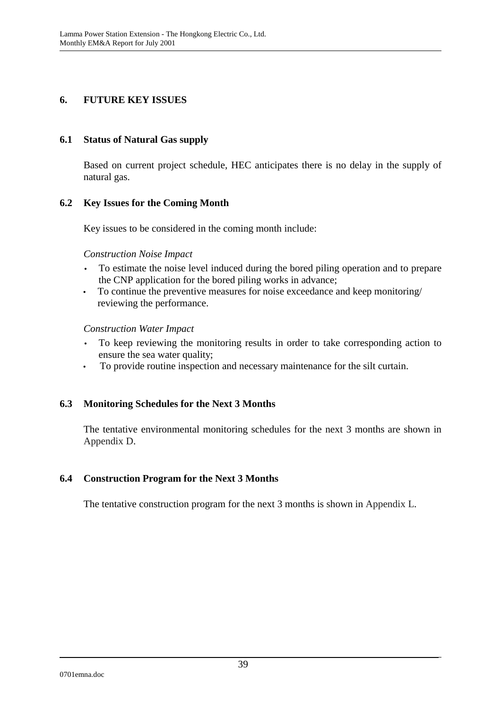### **6. FUTURE KEY ISSUES**

### **6.1 Status of Natural Gas supply**

Based on current project schedule, HEC anticipates there is no delay in the supply of natural gas.

### **6.2 Key Issues for the Coming Month**

Key issues to be considered in the coming month include:

#### *Construction Noise Impact*

- To estimate the noise level induced during the bored piling operation and to prepare the CNP application for the bored piling works in advance;
- To continue the preventive measures for noise exceedance and keep monitoring/ reviewing the performance.

#### *Construction Water Impact*

- To keep reviewing the monitoring results in order to take corresponding action to ensure the sea water quality;
- To provide routine inspection and necessary maintenance for the silt curtain.

### **6.3 Monitoring Schedules for the Next 3 Months**

The tentative environmental monitoring schedules for the next 3 months are shown in Appendix D.

### **6.4 Construction Program for the Next 3 Months**

The tentative construction program for the next 3 months is shown in Appendix L.